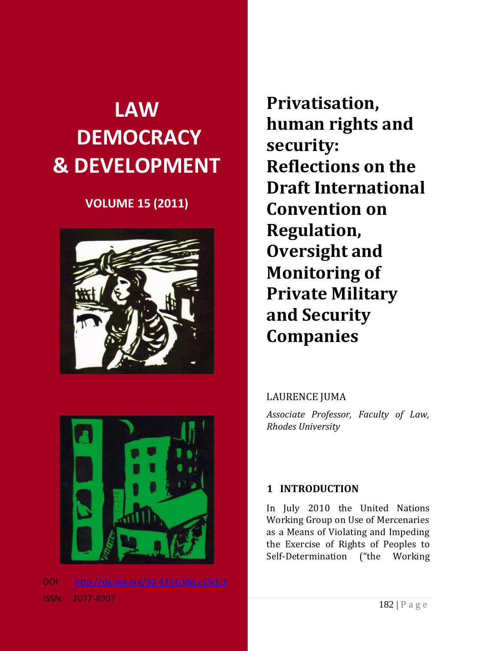# **LAW DEMOCRACY & DEVELOPMENT**

# **VOLUME 15 (2011)**



**Privatisation, human rights and security: Reflections on the Draft International Convention on Regulation, Oversight and Monitoring of Private Military and Security Companies**

LAURENCE JUMA

*Associate Professor, Faculty of Law, Rhodes University*

## **1 INTRODUCTION**

In July 2010 the United Nations Working Group on Use of Mercenaries as a Means of Violating and Impeding the Exercise of Rights of Peoples to Self-Determination ("the Working



DOI: [http://dx.doi.org/10.4314/ldd.v15i1.3](http://dx.doi.org/10.4314/ldd.v15i1.7) ISSN: 2077-4907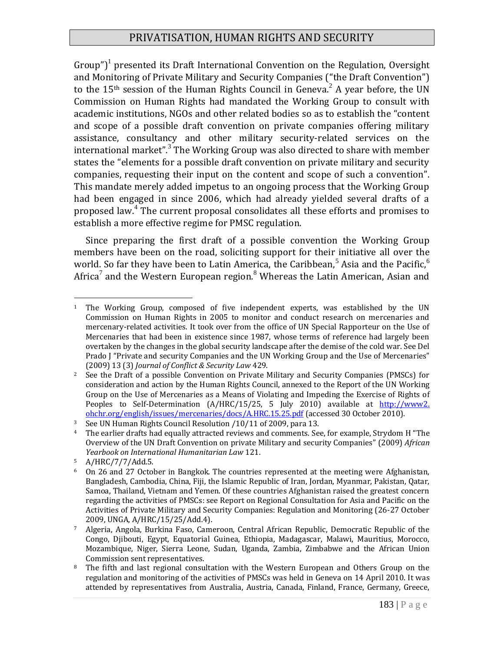Group")<sup>1</sup> presented its Draft International Convention on the Regulation, Oversight and Monitoring of Private Military and Security Companies ("the Draft Convention") to the 15<sup>th</sup> session of the Human Rights Council in Geneva.<sup>2</sup> A year before, the UN Commission on Human Rights had mandated the Working Group to consult with academic institutions, NGOs and other related bodies so as to establish the "content and scope of a possible draft convention on private companies offering military assistance, consultancy and other military security-related services on the international market".<sup>3</sup> The Working Group was also directed to share with member states the "elements for a possible draft convention on private military and security companies, requesting their input on the content and scope of such a convention". This mandate merely added impetus to an ongoing process that the Working Group had been engaged in since 2006, which had already yielded several drafts of a proposed law.<sup>4</sup> The current proposal consolidates all these efforts and promises to establish a more effective regime for PMSC regulation.

Since preparing the first draft of a possible convention the Working Group members have been on the road, soliciting support for their initiative all over the world. So far they have been to Latin America, the Caribbean,  $5$  Asia and the Pacific,  $6$ Africa<sup>7</sup> and the Western European region.<sup>8</sup> Whereas the Latin American, Asian and

<sup>1</sup> The Working Group, composed of five independent experts, was established by the UN Commission on Human Rights in 2005 to monitor and conduct research on mercenaries and mercenary-related activities. It took over from the office of UN Special Rapporteur on the Use of Mercenaries that had been in existence since 1987, whose terms of reference had largely been overtaken by the changes in the global security landscape after the demise of the cold war. See Del Prado J "Private and security Companies and the UN Working Group and the Use of Mercenaries" (2009) 13 (3) *Journal of Conflict & Security Law* 429.

<sup>2</sup> See the Draft of a possible Convention on Private Military and Security Companies (PMSCs) for consideration and action by the Human Rights Council, annexed to the Report of the UN Working Group on the Use of Mercenaries as a Means of Violating and Impeding the Exercise of Rights of Peoples to Self-Determination (A/HRC/15/25, 5 July 2010) available at http://www2. ohchr.org/english/issues/mercenaries/docs/A.HRC.15.25.pdf (accessed 30 October 2010).

<sup>3</sup> See UN Human Rights Council Resolution /10/11 of 2009, para 13.

<sup>4</sup> The earlier drafts had equally attracted reviews and comments. See, for example, Strydom H "The Overview of the UN Draft Convention on private Military and security Companies" (2009) *African Yearbook on International Humanitarian Law* 121.

<sup>5</sup> A/HRC/7/7/Add.5.

<sup>6</sup> On 26 and 27 October in Bangkok. The countries represented at the meeting were Afghanistan, Bangladesh, Cambodia, China, Fiji, the Islamic Republic of Iran, Jordan, Myanmar, Pakistan, Qatar, Samoa, Thailand, Vietnam and Yemen. Of these countries Afghanistan raised the greatest concern regarding the activities of PMSCs: see Report on Regional Consultation for Asia and Pacific on the Activities of Private Military and Security Companies: Regulation and Monitoring (26-27 October 2009, UNGA, A/HRC/15/25/Add.4).

<sup>7</sup> Algeria, Angola, Burkina Faso, Cameroon, Central African Republic, Democratic Republic of the Congo, Djibouti, Egypt, Equatorial Guinea, Ethiopia, Madagascar, Malawi, Mauritius, Morocco, Mozambique, Niger, Sierra Leone, Sudan, Uganda, Zambia, Zimbabwe and the African Union Commission sent representatives.

<sup>8</sup> The fifth and last regional consultation with the Western European and Others Group on the regulation and monitoring of the activities of PMSCs was held in Geneva on 14 April 2010. It was attended by representatives from Australia, Austria, Canada, Finland, France, Germany, Greece,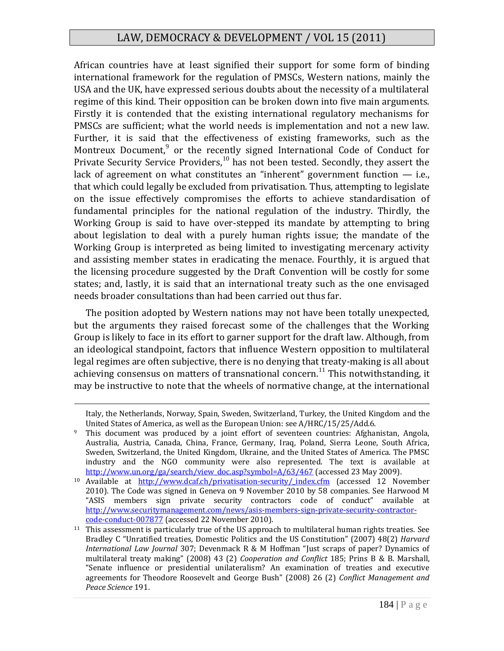African countries have at least signified their support for some form of binding international framework for the regulation of PMSCs, Western nations, mainly the USA and the UK, have expressed serious doubts about the necessity of a multilateral regime of this kind. Their opposition can be broken down into five main arguments. Firstly it is contended that the existing international regulatory mechanisms for PMSCs are sufficient; what the world needs is implementation and not a new law. Further, it is said that the effectiveness of existing frameworks, such as the Montreux Document,<sup>9</sup> or the recently signed International Code of Conduct for Private Security Service Providers,<sup>10</sup> has not been tested. Secondly, they assert the lack of agreement on what constitutes an "inherent" government function  $-$  i.e., that which could legally be excluded from privatisation. Thus, attempting to legislate on the issue effectively compromises the efforts to achieve standardisation of fundamental principles for the national regulation of the industry. Thirdly, the Working Group is said to have over-stepped its mandate by attempting to bring about legislation to deal with a purely human rights issue; the mandate of the Working Group is interpreted as being limited to investigating mercenary activity and assisting member states in eradicating the menace. Fourthly, it is argued that the licensing procedure suggested by the Draft Convention will be costly for some states; and, lastly, it is said that an international treaty such as the one envisaged needs broader consultations than had been carried out thus far.

The position adopted by Western nations may not have been totally unexpected, but the arguments they raised forecast some of the challenges that the Working Group is likely to face in its effort to garner support for the draft law. Although, from an ideological standpoint, factors that influence Western opposition to multilateral legal regimes are often subjective, there is no denying that treaty-making is all about achieving consensus on matters of transnational concern.<sup>11</sup> This notwithstanding, it may be instructive to note that the wheels of normative change, at the international

Italy, the Netherlands, Norway, Spain, Sweden, Switzerland, Turkey, the United Kingdom and the United States of America, as well as the European Union: see A/HRC/15/25/Add.6.

This document was produced by a joint effort of seventeen countries: Afghanistan, Angola, Australia, Austria, Canada, China, France, Germany, Iraq, Poland, Sierra Leone, South Africa, Sweden, Switzerland, the United Kingdom, Ukraine, and the United States of America. The PMSC industry and the NGO community were also represented. The text is available at http://ww<u>w.un.org/ga/search/view\_doc.asp?symbol=A/63/467</u> (accessed 23 May 2009).

<sup>10</sup> Available at [http://www.dcaf.ch/privatisation-security/\\_index.cfm](http://www.dcaf.ch/privatisation-security/_index.cfm) (accessed 12 November 2010). The Code was signed in Geneva on 9 November 2010 by 58 companies. See Harwood M "ASIS members sign private security contractors code of conduct" available at [http://www.securitymanagement.com/news/asis-members-sign-private-security-contractor](http://www.securitymanagement.com/news/asis-members-sign-private-security-contractor-code-conduct-007877)[code-conduct-007877](http://www.securitymanagement.com/news/asis-members-sign-private-security-contractor-code-conduct-007877) (accessed 22 November 2010).

<sup>&</sup>lt;sup>11</sup> This assessment is particularly true of the US approach to multilateral human rights treaties. See Bradley C "Unratified treaties, Domestic Politics and the US Constitution" (2007) 48(2) *Harvard International Law Journal* 307; Devenmack R & M Hoffman "Just scraps of paper? Dynamics of multilateral treaty making" (2008) 43 (2) *Cooperation and Conflict* 185; Prins B & B. Marshall, "Senate influence or presidential unilateralism? An examination of treaties and executive agreements for Theodore Roosevelt and George Bush" (2008) 26 (2) *Conflict Management and Peace Science* 191.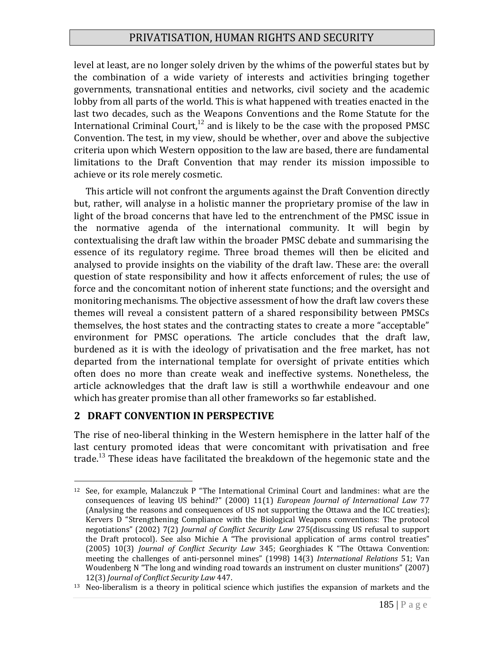level at least, are no longer solely driven by the whims of the powerful states but by the combination of a wide variety of interests and activities bringing together governments, transnational entities and networks, civil society and the academic lobby from all parts of the world. This is what happened with treaties enacted in the last two decades, such as the Weapons Conventions and the Rome Statute for the International Criminal Court, $12$  and is likely to be the case with the proposed PMSC Convention. The test, in my view, should be whether, over and above the subjective criteria upon which Western opposition to the law are based, there are fundamental limitations to the Draft Convention that may render its mission impossible to achieve or its role merely cosmetic.

This article will not confront the arguments against the Draft Convention directly but, rather, will analyse in a holistic manner the proprietary promise of the law in light of the broad concerns that have led to the entrenchment of the PMSC issue in the normative agenda of the international community. It will begin by contextualising the draft law within the broader PMSC debate and summarising the essence of its regulatory regime. Three broad themes will then be elicited and analysed to provide insights on the viability of the draft law. These are: the overall question of state responsibility and how it affects enforcement of rules; the use of force and the concomitant notion of inherent state functions; and the oversight and monitoring mechanisms. The objective assessment of how the draft law covers these themes will reveal a consistent pattern of a shared responsibility between PMSCs themselves, the host states and the contracting states to create a more "acceptable" environment for PMSC operations. The article concludes that the draft law, burdened as it is with the ideology of privatisation and the free market, has not departed from the international template for oversight of private entities which often does no more than create weak and ineffective systems. Nonetheless, the article acknowledges that the draft law is still a worthwhile endeavour and one which has greater promise than all other frameworks so far established.

#### **2 DRAFT CONVENTION IN PERSPECTIVE**

 $\overline{a}$ 

The rise of neo-liberal thinking in the Western hemisphere in the latter half of the last century promoted ideas that were concomitant with privatisation and free trade.<sup>13</sup> These ideas have facilitated the breakdown of the hegemonic state and the

 $12$  See, for example, Malanczuk P "The International Criminal Court and landmines: what are the consequences of leaving US behind?" (2000) 11(1) *European Journal of International Law* 77 (Analysing the reasons and consequences of US not supporting the Ottawa and the ICC treaties); Kervers D "Strengthening Compliance with the Biological Weapons conventions: The protocol negotiations" (2002) 7(2) *Journal of Conflict Security Law* 275(discussing US refusal to support the Draft protocol). See also Michie A "The provisional application of arms control treaties" (2005) 10(3) *Journal of Conflict Security Law* 345; Georghiades K "The Ottawa Convention: meeting the challenges of anti-personnel mines" (1998) 14(3) *International Relations* 51; Van Woudenberg N "The long and winding road towards an instrument on cluster munitions" (2007) 12(3) *Journal of Conflict Security Law* 447.

<sup>&</sup>lt;sup>13</sup> Neo-liberalism is a theory in political science which justifies the expansion of markets and the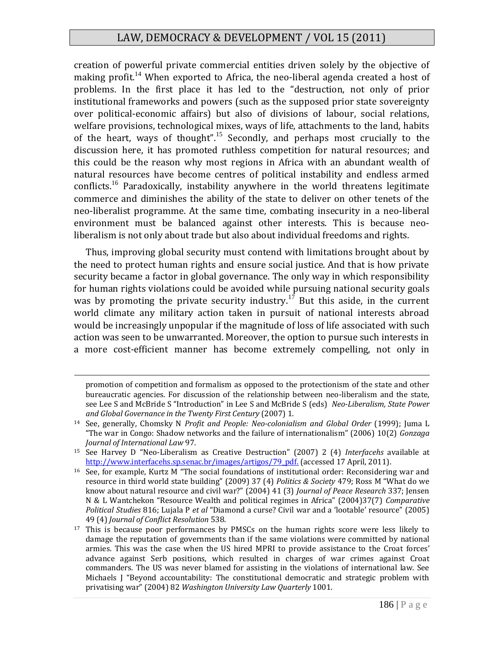creation of powerful private commercial entities driven solely by the objective of making profit.<sup>14</sup> When exported to Africa, the neo-liberal agenda created a host of problems. In the first place it has led to the "destruction, not only of prior institutional frameworks and powers (such as the supposed prior state sovereignty over political-economic affairs) but also of divisions of labour, social relations, welfare provisions, technological mixes, ways of life, attachments to the land, habits of the heart, ways of thought".<sup>15</sup> Secondly, and perhaps most crucially to the discussion here, it has promoted ruthless competition for natural resources; and this could be the reason why most regions in Africa with an abundant wealth of natural resources have become centres of political instability and endless armed conflicts.<sup>16</sup> Paradoxically, instability anywhere in the world threatens legitimate commerce and diminishes the ability of the state to deliver on other tenets of the neo-liberalist programme. At the same time, combating insecurity in a neo-liberal environment must be balanced against other interests. This is because neoliberalism is not only about trade but also about individual freedoms and rights.

Thus, improving global security must contend with limitations brought about by the need to protect human rights and ensure social justice. And that is how private security became a factor in global governance. The only way in which responsibility for human rights violations could be avoided while pursuing national security goals was by promoting the private security industry.<sup>17</sup> But this aside, in the current world climate any military action taken in pursuit of national interests abroad would be increasingly unpopular if the magnitude of loss of life associated with such action was seen to be unwarranted. Moreover, the option to pursue such interests in a more cost-efficient manner has become extremely compelling, not only in

promotion of competition and formalism as opposed to the protectionism of the state and other bureaucratic agencies. For discussion of the relationship between neo-liberalism and the state, see Lee S and McBride S "Introduction" in Lee S and McBride S (eds) *Neo-Liberalism, State Power and Global Governance in the Twenty First Century* (2007) 1.

<sup>14</sup> See, generally, Chomsky N *Profit and People: Neo-colonialism and Global Order* (1999); Juma L "The war in Congo: Shadow networks and the failure of internationalism" (2006) 10(2) *Gonzaga Journal of International Law* 97.

<sup>15</sup> See Harvey D "Neo-Liberalism as Creative Destruction" (2007) 2 (4) *Interfacehs* available at [http://www.interfacehs.sp.senac.br/images/artigos/79\\_pdf.](http://www.interfacehs.sp.senac.br/images/artigos/79_pdf.) (accessed 17 April, 2011).

<sup>16</sup> See, for example, Kurtz M "The social foundations of institutional order: Reconsidering war and resource in third world state building" (2009) 37 (4) *Politics & Society* 479; Ross M "What do we know about natural resource and civil war?" (2004) 41 (3) *Journal of Peace Research* 337; Jensen N & L Wantchekon "Resource Wealth and political regimes in Africa" (2004)37(7) *Comparative Political Studies* 816; Lujala P *et al* "Diamond a curse? Civil war and a 'lootable' resource" (2005) 49 (4) *Journal of Conflict Resolution* 538.

<sup>&</sup>lt;sup>17</sup> This is because poor performances by PMSCs on the human rights score were less likely to damage the reputation of governments than if the same violations were committed by national armies. This was the case when the US hired MPRI to provide assistance to the Croat forces' advance against Serb positions, which resulted in charges of war crimes against Croat commanders. The US was never blamed for assisting in the violations of international law. See Michaels J "Beyond accountability: The constitutional democratic and strategic problem with privatising war" (2004) 82 *Washington University Law Quarterly* 1001.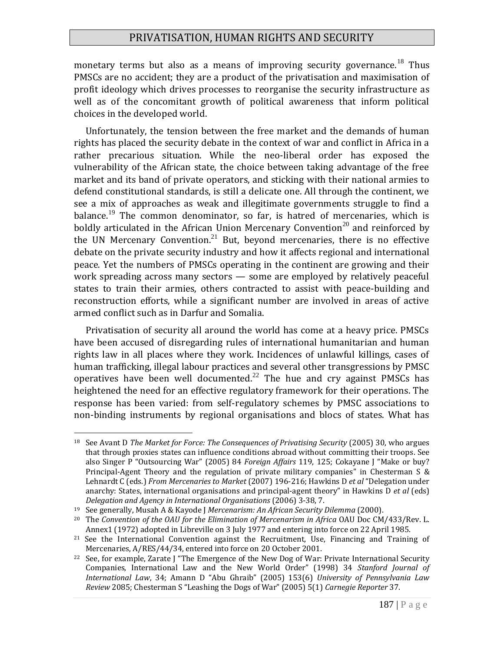monetary terms but also as a means of improving security governance.<sup>18</sup> Thus PMSCs are no accident; they are a product of the privatisation and maximisation of profit ideology which drives processes to reorganise the security infrastructure as well as of the concomitant growth of political awareness that inform political choices in the developed world.

Unfortunately, the tension between the free market and the demands of human rights has placed the security debate in the context of war and conflict in Africa in a rather precarious situation. While the neo-liberal order has exposed the vulnerability of the African state, the choice between taking advantage of the free market and its band of private operators, and sticking with their national armies to defend constitutional standards, is still a delicate one. All through the continent, we see a mix of approaches as weak and illegitimate governments struggle to find a balance.<sup>19</sup> The common denominator, so far, is hatred of mercenaries, which is boldly articulated in the African Union Mercenary Convention<sup>20</sup> and reinforced by the UN Mercenary Convention.<sup>21</sup> But, beyond mercenaries, there is no effective debate on the private security industry and how it affects regional and international peace. Yet the numbers of PMSCs operating in the continent are growing and their work spreading across many sectors — some are employed by relatively peaceful states to train their armies, others contracted to assist with peace-building and reconstruction efforts, while a significant number are involved in areas of active armed conflict such as in Darfur and Somalia.

Privatisation of security all around the world has come at a heavy price. PMSCs have been accused of disregarding rules of international humanitarian and human rights law in all places where they work. Incidences of unlawful killings, cases of human trafficking, illegal labour practices and several other transgressions by PMSC operatives have been well documented.<sup>22</sup> The hue and cry against PMSCs has heightened the need for an effective regulatory framework for their operations. The response has been varied: from self-regulatory schemes by PMSC associations to non-binding instruments by regional organisations and blocs of states. What has

 $\overline{a}$ <sup>18</sup> See Avant D *The Market for Force: The Consequences of Privatising Security* (2005) 30, who argues that through proxies states can influence conditions abroad without committing their troops. See also Singer P "Outsourcing War" (2005) 84 *Foreign Affairs* 119, 125; Cokayane J "Make or buy? Principal-Agent Theory and the regulation of private military companies" in Chesterman S & Lehnardt C (eds.) *From Mercenaries to Market* (2007) 196-216; Hawkins D *et al* "Delegation under anarchy: States, international organisations and principal-agent theory" in Hawkins D *et al* (eds) *Delegation and Agency in International Organisations* (2006) 3-38, 7.

<sup>19</sup> See generally, Musah A & Kayode J *Mercenarism: An African Security Dilemma* (2000).

<sup>20</sup> The *Convention of the OAU for the Elimination of Mercenarism in Africa* OAU Doc CM/433/Rev. L. Annex1 (1972) adopted in Libreville on 3 July 1977 and entering into force on 22 April 1985.

<sup>21</sup> See the International Convention against the Recruitment, Use, Financing and Training of Mercenaries, A/RES/44/34, entered into force on 20 October 2001.

<sup>&</sup>lt;sup>22</sup> See, for example, Zarate J "The Emergence of the New Dog of War: Private International Security Companies, International Law and the New World Order" (1998) 34 *Stanford Journal of International Law*, 34; Amann D "Abu Ghraib" (2005) 153(6) *University of Pennsylvania Law Review* 2085; Chesterman S "Leashing the Dogs of War" (2005) 5(1) *Carnegie Reporter* 37.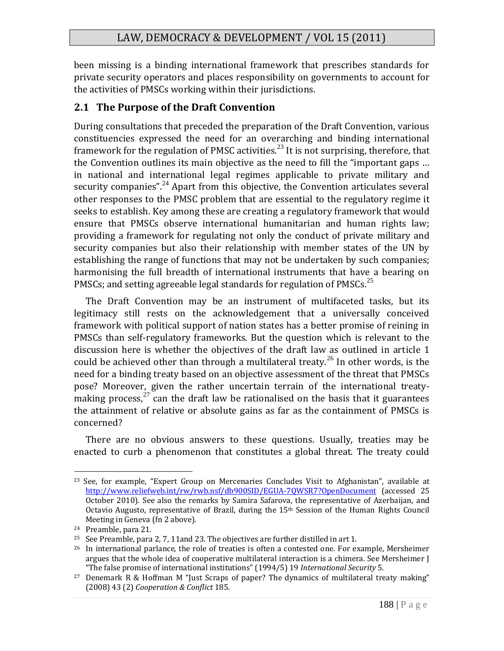been missing is a binding international framework that prescribes standards for private security operators and places responsibility on governments to account for the activities of PMSCs working within their jurisdictions.

#### **2.1 The Purpose of the Draft Convention**

During consultations that preceded the preparation of the Draft Convention, various constituencies expressed the need for an overarching and binding international framework for the regulation of PMSC activities.<sup>23</sup> It is not surprising, therefore, that the Convention outlines its main objective as the need to fill the "important gaps … in national and international legal regimes applicable to private military and security companies".<sup>24</sup> Apart from this objective, the Convention articulates several other responses to the PMSC problem that are essential to the regulatory regime it seeks to establish. Key among these are creating a regulatory framework that would ensure that PMSCs observe international humanitarian and human rights law; providing a framework for regulating not only the conduct of private military and security companies but also their relationship with member states of the UN by establishing the range of functions that may not be undertaken by such companies; harmonising the full breadth of international instruments that have a bearing on PMSCs; and setting agreeable legal standards for regulation of PMSCs.<sup>25</sup>

The Draft Convention may be an instrument of multifaceted tasks, but its legitimacy still rests on the acknowledgement that a universally conceived framework with political support of nation states has a better promise of reining in PMSCs than self-regulatory frameworks. But the question which is relevant to the discussion here is whether the objectives of the draft law as outlined in article 1 could be achieved other than through a multilateral treaty.<sup>26</sup> In other words, is the need for a binding treaty based on an objective assessment of the threat that PMSCs pose? Moreover, given the rather uncertain terrain of the international treatymaking process,  $27$  can the draft law be rationalised on the basis that it guarantees the attainment of relative or absolute gains as far as the containment of PMSCs is concerned?

There are no obvious answers to these questions. Usually, treaties may be enacted to curb a phenomenon that constitutes a global threat. The treaty could

 $\overline{a}$ <sup>23</sup> See, for example, "Expert Group on Mercenaries Concludes Visit to Afghanistan", available at <http://www.reliefweb.int/rw/rwb.nsf/db900SID/EGUA-7QWSR7?OpenDocument> (accessed 25 October 2010). See also the remarks by Samira Safarova, the representative of Azerbaijan, and Octavio Augusto, representative of Brazil, during the 15th Session of the Human Rights Council Meeting in Geneva (fn 2 above).

<sup>24</sup> Preamble, para 21.

<sup>25</sup> See Preamble, para 2, 7, 11and 23. The objectives are further distilled in art 1.

<sup>26</sup> In international parlance, the role of treaties is often a contested one. For example, Mersheimer argues that the whole idea of cooperative multilateral interaction is a chimera. See Mersheimer J "The false promise of international institutions" (1994/5) 19 *International Security* 5.

<sup>&</sup>lt;sup>27</sup> Denemark R & Hoffman M "Just Scraps of paper? The dynamics of multilateral treaty making" (2008) 43 (2) *Cooperation & Conflict* 185.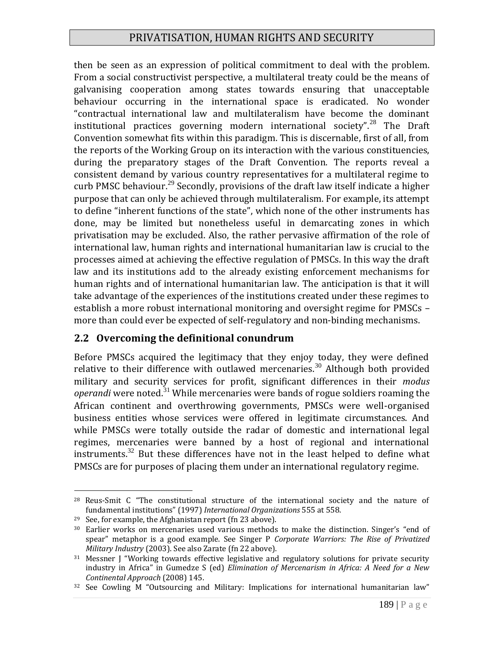then be seen as an expression of political commitment to deal with the problem. From a social constructivist perspective, a multilateral treaty could be the means of galvanising cooperation among states towards ensuring that unacceptable behaviour occurring in the international space is eradicated. No wonder "contractual international law and multilateralism have become the dominant institutional practices governing modern international society".<sup>28</sup> The Draft Convention somewhat fits within this paradigm. This is discernable, first of all, from the reports of the Working Group on its interaction with the various constituencies, during the preparatory stages of the Draft Convention. The reports reveal a consistent demand by various country representatives for a multilateral regime to curb PMSC behaviour.<sup>29</sup> Secondly, provisions of the draft law itself indicate a higher purpose that can only be achieved through multilateralism. For example, its attempt to define "inherent functions of the state", which none of the other instruments has done, may be limited but nonetheless useful in demarcating zones in which privatisation may be excluded. Also, the rather pervasive affirmation of the role of international law, human rights and international humanitarian law is crucial to the processes aimed at achieving the effective regulation of PMSCs. In this way the draft law and its institutions add to the already existing enforcement mechanisms for human rights and of international humanitarian law. The anticipation is that it will take advantage of the experiences of the institutions created under these regimes to establish a more robust international monitoring and oversight regime for PMSCs – more than could ever be expected of self-regulatory and non-binding mechanisms.

## **2.2 Overcoming the definitional conundrum**

Before PMSCs acquired the legitimacy that they enjoy today, they were defined relative to their difference with outlawed mercenaries.<sup>30</sup> Although both provided military and security services for profit, significant differences in their *modus operandi* were noted.<sup>31</sup> While mercenaries were bands of rogue soldiers roaming the African continent and overthrowing governments, PMSCs were well-organised business entities whose services were offered in legitimate circumstances. And while PMSCs were totally outside the radar of domestic and international legal regimes, mercenaries were banned by a host of regional and international instruments.<sup>32</sup> But these differences have not in the least helped to define what PMSCs are for purposes of placing them under an international regulatory regime.

<sup>28</sup> Reus-Smit C "The constitutional structure of the international society and the nature of fundamental institutions" (1997) *International Organizations* 555 at 558.

<sup>29</sup> See, for example, the Afghanistan report (fn 23 above).

<sup>30</sup> Earlier works on mercenaries used various methods to make the distinction. Singer's "end of spear" metaphor is a good example. See Singer P *Corporate Warriors: The Rise of Privatized Military Industry* (2003). See also Zarate (fn 22 above).

<sup>&</sup>lt;sup>31</sup> Messner J "Working towards effective legislative and regulatory solutions for private security industry in Africa" in Gumedze S (ed) *Elimination of Mercenarism in Africa: A Need for a New Continental Approach* (2008) 145.

<sup>32</sup> See Cowling M "Outsourcing and Military: Implications for international humanitarian law"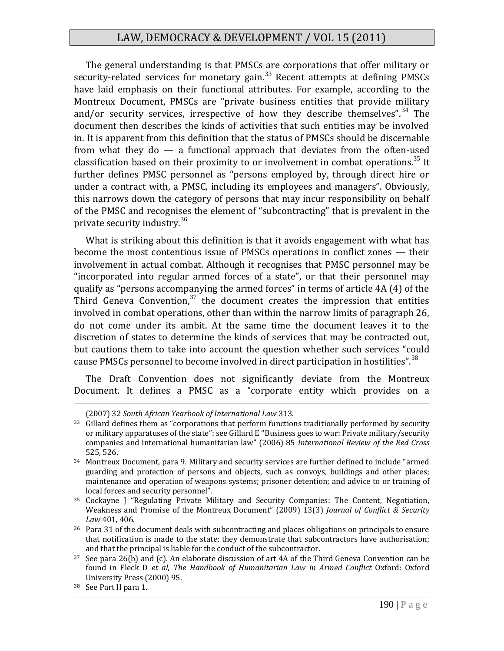The general understanding is that PMSCs are corporations that offer military or security-related services for monetary gain. $33$  Recent attempts at defining PMSCs have laid emphasis on their functional attributes. For example, according to the Montreux Document, PMSCs are "private business entities that provide military and/or security services, irrespective of how they describe themselves".<sup>34</sup> The document then describes the kinds of activities that such entities may be involved in. It is apparent from this definition that the status of PMSCs should be discernable from what they do — a functional approach that deviates from the often-used classification based on their proximity to or involvement in combat operations.<sup>35</sup> It further defines PMSC personnel as "persons employed by, through direct hire or under a contract with, a PMSC, including its employees and managers". Obviously, this narrows down the category of persons that may incur responsibility on behalf of the PMSC and recognises the element of "subcontracting" that is prevalent in the private security industry.<sup>36</sup>

What is striking about this definition is that it avoids engagement with what has become the most contentious issue of PMSCs operations in conflict zones — their involvement in actual combat. Although it recognises that PMSC personnel may be "incorporated into regular armed forces of a state", or that their personnel may qualify as "persons accompanying the armed forces" in terms of article 4A (4) of the Third Geneva Convention,  $37$  the document creates the impression that entities involved in combat operations, other than within the narrow limits of paragraph 26, do not come under its ambit. At the same time the document leaves it to the discretion of states to determine the kinds of services that may be contracted out, but cautions them to take into account the question whether such services "could cause PMSCs personnel to become involved in direct participation in hostilities".<sup>38</sup>

The Draft Convention does not significantly deviate from the Montreux Document. It defines a PMSC as a "corporate entity which provides on a

<sup>(2007) 32</sup> *South African Yearbook of International Law* 313.

<sup>&</sup>lt;sup>33</sup> Gillard defines them as "corporations that perform functions traditionally performed by security or military apparatuses of the state": see Gillard E "Business goes to war: Private military/security companies and international humanitarian law" (2006) 85 *International Review of the Red Cross* 525, 526.

<sup>34</sup> Montreux Document, para 9. Military and security services are further defined to include "armed guarding and protection of persons and objects, such as convoys, buildings and other places; maintenance and operation of weapons systems; prisoner detention; and advice to or training of local forces and security personnel".

<sup>35</sup> Cockayne J "Regulating Private Military and Security Companies: The Content, Negotiation, Weakness and Promise of the Montreux Document" (2009) 13(3) *Journal of Conflict & Security Law* 401, 406.

<sup>&</sup>lt;sup>36</sup> Para 31 of the document deals with subcontracting and places obligations on principals to ensure that notification is made to the state; they demonstrate that subcontractors have authorisation; and that the principal is liable for the conduct of the subcontractor.

 $37$  See para 26(b) and (c). An elaborate discussion of art 4A of the Third Geneva Convention can be found in Fleck D *et al*, *The Handbook of Humanitarian Law in Armed Conflict* Oxford: Oxford University Press (2000) 95.

<sup>38</sup> See Part II para 1.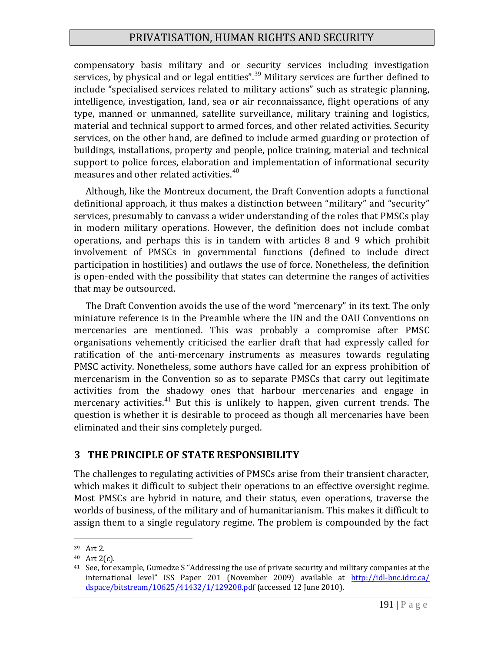compensatory basis military and or security services including investigation services, by physical and or legal entities".<sup>39</sup> Military services are further defined to include "specialised services related to military actions" such as strategic planning, intelligence, investigation, land, sea or air reconnaissance, flight operations of any type, manned or unmanned, satellite surveillance, military training and logistics, material and technical support to armed forces, and other related activities. Security services, on the other hand, are defined to include armed guarding or protection of buildings, installations, property and people, police training, material and technical support to police forces, elaboration and implementation of informational security measures and other related activities.<sup>40</sup>

Although, like the Montreux document, the Draft Convention adopts a functional definitional approach, it thus makes a distinction between "military" and "security" services, presumably to canvass a wider understanding of the roles that PMSCs play in modern military operations. However, the definition does not include combat operations, and perhaps this is in tandem with articles 8 and 9 which prohibit involvement of PMSCs in governmental functions (defined to include direct participation in hostilities) and outlaws the use of force. Nonetheless, the definition is open-ended with the possibility that states can determine the ranges of activities that may be outsourced.

The Draft Convention avoids the use of the word "mercenary" in its text. The only miniature reference is in the Preamble where the UN and the OAU Conventions on mercenaries are mentioned. This was probably a compromise after PMSC organisations vehemently criticised the earlier draft that had expressly called for ratification of the anti-mercenary instruments as measures towards regulating PMSC activity. Nonetheless, some authors have called for an express prohibition of mercenarism in the Convention so as to separate PMSCs that carry out legitimate activities from the shadowy ones that harbour mercenaries and engage in mercenary activities.<sup>41</sup> But this is unlikely to happen, given current trends. The question is whether it is desirable to proceed as though all mercenaries have been eliminated and their sins completely purged.

#### **3 THE PRINCIPLE OF STATE RESPONSIBILITY**

The challenges to regulating activities of PMSCs arise from their transient character, which makes it difficult to subject their operations to an effective oversight regime. Most PMSCs are hybrid in nature, and their status, even operations, traverse the worlds of business, of the military and of humanitarianism. This makes it difficult to assign them to a single regulatory regime. The problem is compounded by the fact

<sup>39</sup> Art 2.

<sup>40</sup> Art 2(c).

<sup>41</sup> See, for example, Gumedze S "Addressing the use of private security and military companies at the international level" ISS Paper 201 (November 2009) available at [http://idl-bnc.idrc.ca/](http://idl-bnc.idrc.ca/%20dspace/bitstream/10625/41432/1/129208.pdf)  [dspace/bitstream/10625/41432/1/129208.pdf](http://idl-bnc.idrc.ca/%20dspace/bitstream/10625/41432/1/129208.pdf) (accessed 12 June 2010).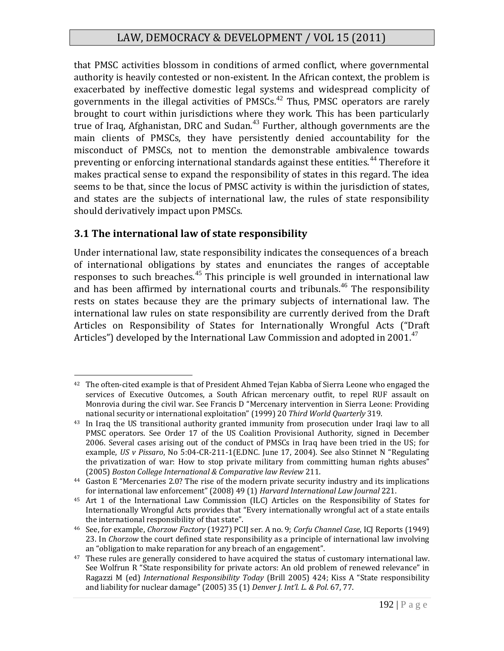that PMSC activities blossom in conditions of armed conflict, where governmental authority is heavily contested or non-existent. In the African context, the problem is exacerbated by ineffective domestic legal systems and widespread complicity of governments in the illegal activities of  $PMSCs<sup>42</sup>$  Thus, PMSC operators are rarely brought to court within jurisdictions where they work. This has been particularly true of Iraq, Afghanistan, DRC and Sudan. $43$  Further, although governments are the main clients of PMSCs, they have persistently denied accountability for the misconduct of PMSCs, not to mention the demonstrable ambivalence towards preventing or enforcing international standards against these entities.<sup>44</sup> Therefore it makes practical sense to expand the responsibility of states in this regard. The idea seems to be that, since the locus of PMSC activity is within the jurisdiction of states, and states are the subjects of international law, the rules of state responsibility should derivatively impact upon PMSCs.

#### **3.1 The international law of state responsibility**

 $\overline{a}$ 

Under international law, state responsibility indicates the consequences of a breach of international obligations by states and enunciates the ranges of acceptable responses to such breaches.<sup>45</sup> This principle is well grounded in international law and has been affirmed by international courts and tribunals. $46$  The responsibility rests on states because they are the primary subjects of international law. The international law rules on state responsibility are currently derived from the Draft Articles on Responsibility of States for Internationally Wrongful Acts ("Draft Articles") developed by the International Law Commission and adopted in 2001.<sup>47</sup>

<sup>&</sup>lt;sup>42</sup> The often-cited example is that of President Ahmed Tejan Kabba of Sierra Leone who engaged the services of Executive Outcomes, a South African mercenary outfit, to repel RUF assault on Monrovia during the civil war. See Francis D "Mercenary intervention in Sierra Leone: Providing national security or international exploitation" (1999) 20 *Third World Quarterly* 319.

 $43$  In Iraq the US transitional authority granted immunity from prosecution under Iraqi law to all PMSC operators. See Order 17 of the US Coalition Provisional Authority, signed in December 2006. Several cases arising out of the conduct of PMSCs in Iraq have been tried in the US; for example, *US v Pissaro*, No 5:04-CR-211-1(E.DNC. June 17, 2004). See also Stinnet N "Regulating the privatization of war: How to stop private military from committing human rights abuses" (2005) *Boston College International & Comparative law Review* 211.

<sup>44</sup> Gaston E "Mercenaries 2.0? The rise of the modern private security industry and its implications for international law enforcement" (2008) 49 (1) *Harvard International Law Journal* 221.

<sup>45</sup> Art 1 of the International Law Commission (ILC) Articles on the Responsibility of States for Internationally Wrongful Acts provides that "Every internationally wrongful act of a state entails the international responsibility of that state".

<sup>46</sup> See, for example, *Chorzow Factory* (1927) PCIJ ser. A no. 9; *Corfu Channel Case*, ICJ Reports (1949) 23. In *Chorzow* the court defined state responsibility as a principle of international law involving an "obligation to make reparation for any breach of an engagement".

 $47$  These rules are generally considered to have acquired the status of customary international law. See Wolfrun R "State responsibility for private actors: An old problem of renewed relevance" in Ragazzi M (ed) *International Responsibility Today* (Brill 2005) 424; Kiss A "State responsibility and liability for nuclear damage" (2005) 35 (1) *Denver J. Int'l. L. & Pol.* 67, 77.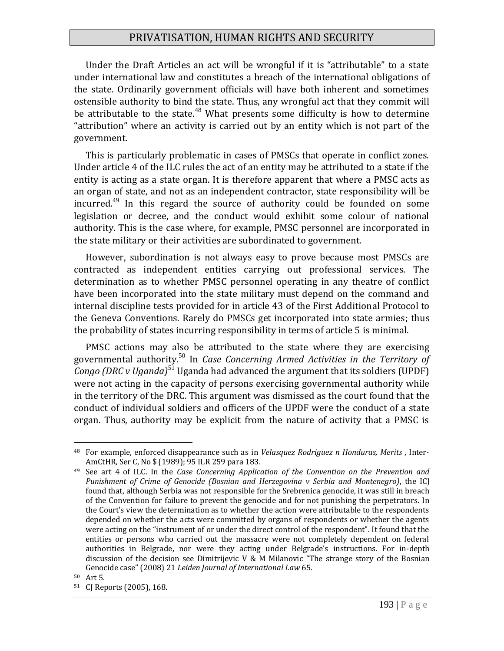Under the Draft Articles an act will be wrongful if it is "attributable" to a state under international law and constitutes a breach of the international obligations of the state. Ordinarily government officials will have both inherent and sometimes ostensible authority to bind the state. Thus, any wrongful act that they commit will be attributable to the state. $48$  What presents some difficulty is how to determine "attribution" where an activity is carried out by an entity which is not part of the government.

This is particularly problematic in cases of PMSCs that operate in conflict zones. Under article 4 of the ILC rules the act of an entity may be attributed to a state if the entity is acting as a state organ. It is therefore apparent that where a PMSC acts as an organ of state, and not as an independent contractor, state responsibility will be incurred.<sup>49</sup> In this regard the source of authority could be founded on some legislation or decree, and the conduct would exhibit some colour of national authority. This is the case where, for example, PMSC personnel are incorporated in the state military or their activities are subordinated to government.

However, subordination is not always easy to prove because most PMSCs are contracted as independent entities carrying out professional services. The determination as to whether PMSC personnel operating in any theatre of conflict have been incorporated into the state military must depend on the command and internal discipline tests provided for in article 43 of the First Additional Protocol to the Geneva Conventions. Rarely do PMSCs get incorporated into state armies; thus the probability of states incurring responsibility in terms of article 5 is minimal.

PMSC actions may also be attributed to the state where they are exercising governmental authority.<sup>50</sup> In *Case Concerning Armed Activities in the Territory of Congo (DRC v Uganda)*<sup>51</sup> Uganda had advanced the argument that its soldiers (UPDF) were not acting in the capacity of persons exercising governmental authority while in the territory of the DRC. This argument was dismissed as the court found that the conduct of individual soldiers and officers of the UPDF were the conduct of a state organ. Thus, authority may be explicit from the nature of activity that a PMSC is

<sup>48</sup> For example, enforced disappearance such as in *Velasquez Rodriguez n Honduras, Merits* , Inter-AmCtHR, Ser C, No \$ (1989); 95 ILR 259 para 183.

<sup>49</sup> See art 4 of ILC. In the *Case Concerning Application of the Convention on the Prevention and Punishment of Crime of Genocide (Bosnian and Herzegovina v Serbia and Montenegro)*, the ICJ found that, although Serbia was not responsible for the Srebrenica genocide, it was still in breach of the Convention for failure to prevent the genocide and for not punishing the perpetrators. In the Court's view the determination as to whether the action were attributable to the respondents depended on whether the acts were committed by organs of respondents or whether the agents were acting on the "instrument of or under the direct control of the respondent". It found that the entities or persons who carried out the massacre were not completely dependent on federal authorities in Belgrade, nor were they acting under Belgrade's instructions. For in-depth discussion of the decision see Dimitrijevic V & M Milanovic "The strange story of the Bosnian Genocide case" (2008) 21 *Leiden Journal of International Law* 65.

<sup>50</sup> Art 5.

<sup>51</sup> CJ Reports (2005), 168.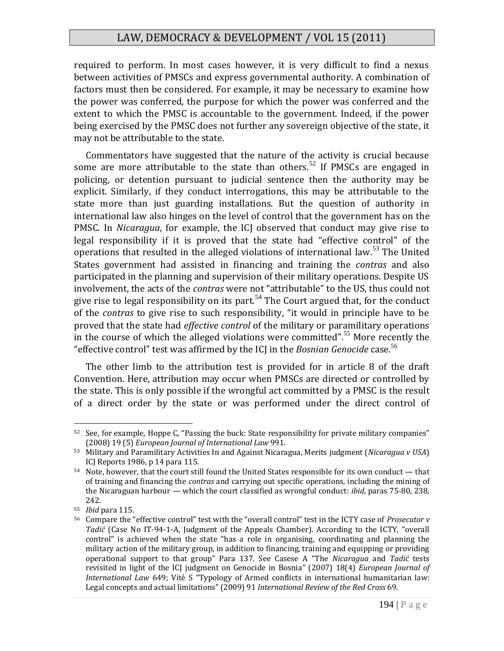required to perform. In most cases however, it is very difficult to find a nexus between activities of PMSCs and express governmental authority. A combination of factors must then be considered. For example, it may be necessary to examine how the power was conferred, the purpose for which the power was conferred and the extent to which the PMSC is accountable to the government. Indeed, if the power being exercised by the PMSC does not further any sovereign objective of the state, it may not be attributable to the state.

Commentators have suggested that the nature of the activity is crucial because some are more attributable to the state than others.<sup>52</sup> If PMSCs are engaged in policing, or detention pursuant to judicial sentence then the authority may be explicit. Similarly, if they conduct interrogations, this may be attributable to the state more than just guarding installations. But the question of authority in international law also hinges on the level of control that the government has on the PMSC. In *Nicaragua*, for example, the ICJ observed that conduct may give rise to legal responsibility if it is proved that the state had "effective control" of the operations that resulted in the alleged violations of international law.<sup>53</sup> The United States government had assisted in financing and training the *contras* and also participated in the planning and supervision of their military operations. Despite US involvement, the acts of the *contras* were not "attributable" to the US, thus could not give rise to legal responsibility on its part.<sup>54</sup> The Court argued that, for the conduct of the *contras* to give rise to such responsibility, "it would in principle have to be proved that the state had *effective control* of the military or paramilitary operations in the course of which the alleged violations were committed".<sup>55</sup> More recently the "effective control" test was affirmed by the ICJ in the *Bosnian Genocide* case.<sup>56</sup>

The other limb to the attribution test is provided for in article 8 of the draft Convention. Here, attribution may occur when PMSCs are directed or controlled by the state. This is only possible if the wrongful act committed by a PMSC is the result of a direct order by the state or was performed under the direct control of

<sup>52</sup> See, for example, Hoppe C, "Passing the buck: State responsibility for private military companies" (2008) 19 (5) *European Journal of International Law* 991.

<sup>53</sup> Military and Paramilitary Activities In and Against Nicaragua, Merits judgment (*Nicaragua v USA*) ICJ Reports 1986, p 14 para 115.

<sup>54</sup> Note, however, that the court still found the United States responsible for its own conduct — that of training and financing the *contras* and carrying out specific operations, including the mining of the Nicaraguan harbour — which the court classified as wrongful conduct: *ibid*, paras 75-80, 238, 242.

<sup>55</sup> *Ibid* para 115.

<sup>56</sup> Compare the "effective control" test with the "overall control" test in the ICTY case of *Prosecutor v Tadić* (Case No IT-94-1-A, Judgment of the Appeals Chamber). According to the ICTY, "overall control" is achieved when the state "has a role in organising, coordinating and planning the military action of the military group, in addition to financing, training and equipping or providing operational support to that group" Para 137. See Casese A "The *Nicaragua* and *Tadić* tests revisited in light of the ICJ judgment on Genocide in Bosnia" (2007) 18(4) *European Journal of International Law* 649; Vité S "Typology of Armed conflicts in international humanitarian law: Legal concepts and actual limitations" (2009) 91 *International Review of the Red Cross* 69.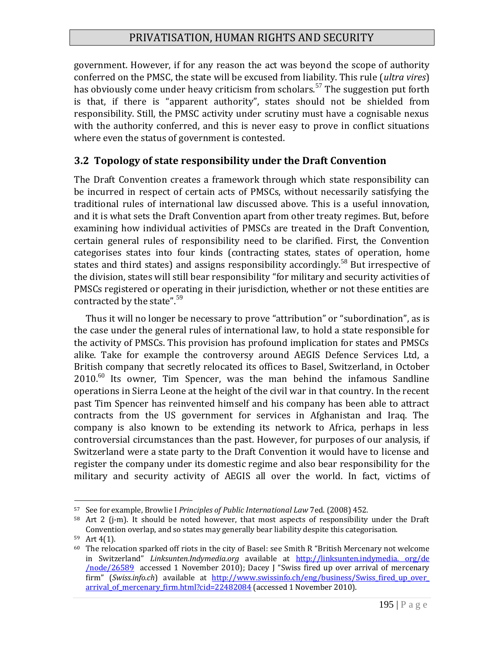government. However, if for any reason the act was beyond the scope of authority conferred on the PMSC, the state will be excused from liability. This rule (*ultra vires*) has obviously come under heavy criticism from scholars.<sup>57</sup> The suggestion put forth is that, if there is "apparent authority", states should not be shielded from responsibility. Still, the PMSC activity under scrutiny must have a cognisable nexus with the authority conferred, and this is never easy to prove in conflict situations where even the status of government is contested.

#### **3.2 Topology of state responsibility under the Draft Convention**

The Draft Convention creates a framework through which state responsibility can be incurred in respect of certain acts of PMSCs, without necessarily satisfying the traditional rules of international law discussed above. This is a useful innovation, and it is what sets the Draft Convention apart from other treaty regimes. But, before examining how individual activities of PMSCs are treated in the Draft Convention, certain general rules of responsibility need to be clarified. First, the Convention categorises states into four kinds (contracting states, states of operation, home states and third states) and assigns responsibility accordingly.<sup>58</sup> But irrespective of the division, states will still bear responsibility "for military and security activities of PMSCs registered or operating in their jurisdiction, whether or not these entities are contracted by the state". $59$ 

Thus it will no longer be necessary to prove "attribution" or "subordination", as is the case under the general rules of international law, to hold a state responsible for the activity of PMSCs. This provision has profound implication for states and PMSCs alike. Take for example the controversy around AEGIS Defence Services Ltd, a British company that secretly relocated its offices to Basel, Switzerland, in October  $2010<sup>60</sup>$  Its owner, Tim Spencer, was the man behind the infamous Sandline operations in Sierra Leone at the height of the civil war in that country. In the recent past Tim Spencer has reinvented himself and his company has been able to attract contracts from the US government for services in Afghanistan and Iraq. The company is also known to be extending its network to Africa, perhaps in less controversial circumstances than the past. However, for purposes of our analysis, if Switzerland were a state party to the Draft Convention it would have to license and register the company under its domestic regime and also bear responsibility for the military and security activity of AEGIS all over the world. In fact, victims of

<sup>57</sup> See for example, Browlie I *Principles of Public International Law* 7ed. (2008) 452.

 $58$  Art 2 (j-m). It should be noted however, that most aspects of responsibility under the Draft Convention overlap, and so states may generally bear liability despite this categorisation.

<sup>59</sup> Art 4(1).

 $60$  The relocation sparked off riots in the city of Basel: see Smith R "British Mercenary not welcome in Switzerland" *Linksunten.Indymedia.org* available at http://linksunten.indymedia. org/de /node/26589 accessed 1 November 2010); Dacey J "Swiss fired up over arrival of mercenary firm" (*Swiss.info.ch*) available at http://www.swissinfo.ch/eng/business/*Swiss* fired up over [arrival\\_of\\_mercenary\\_firm.html?cid=22482084](http://www.swissinfo.ch/eng/business/Swiss_fired_up_over_%20arrival_of_mercenary_firm.html?cid=22482084) (accessed 1 November 2010).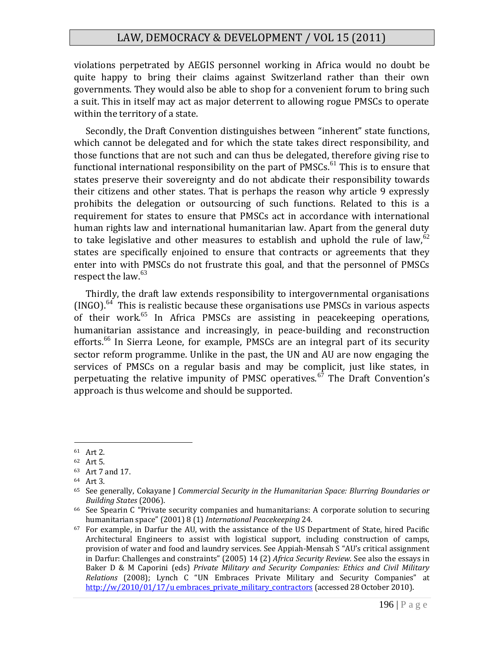violations perpetrated by AEGIS personnel working in Africa would no doubt be quite happy to bring their claims against Switzerland rather than their own governments. They would also be able to shop for a convenient forum to bring such a suit. This in itself may act as major deterrent to allowing rogue PMSCs to operate within the territory of a state.

Secondly, the Draft Convention distinguishes between "inherent" state functions, which cannot be delegated and for which the state takes direct responsibility, and those functions that are not such and can thus be delegated, therefore giving rise to functional international responsibility on the part of PMSCs.<sup>61</sup> This is to ensure that states preserve their sovereignty and do not abdicate their responsibility towards their citizens and other states. That is perhaps the reason why article 9 expressly prohibits the delegation or outsourcing of such functions. Related to this is a requirement for states to ensure that PMSCs act in accordance with international human rights law and international humanitarian law. Apart from the general duty to take legislative and other measures to establish and uphold the rule of law, $62$ states are specifically enjoined to ensure that contracts or agreements that they enter into with PMSCs do not frustrate this goal, and that the personnel of PMSCs respect the law.<sup>63</sup>

Thirdly, the draft law extends responsibility to intergovernmental organisations  $(INGO).<sup>64</sup>$  This is realistic because these organisations use PMSCs in various aspects of their work.<sup>65</sup> In Africa PMSCs are assisting in peacekeeping operations, humanitarian assistance and increasingly, in peace-building and reconstruction efforts.<sup>66</sup> In Sierra Leone, for example, PMSCs are an integral part of its security sector reform programme. Unlike in the past, the UN and AU are now engaging the services of PMSCs on a regular basis and may be complicit, just like states, in perpetuating the relative impunity of PMSC operatives.<sup>67</sup> The Draft Convention's approach is thus welcome and should be supported.

<sup>61</sup> Art 2.

<sup>62</sup> Art 5.

<sup>63</sup> Art 7 and 17.

<sup>64</sup> Art 3.

<sup>65</sup> See generally, Cokayane J *Commercial Security in the Humanitarian Space: Blurring Boundaries or Building States* (2006).

<sup>66</sup> See Spearin C "Private security companies and humanitarians: A corporate solution to securing humanitarian space" (2001) 8 (1) *International Peacekeeping* 24.

<sup>67</sup> For example, in Darfur the AU, with the assistance of the US Department of State, hired Pacific Architectural Engineers to assist with logistical support, including construction of camps, provision of water and food and laundry services. See Appiah-Mensah S "AU's critical assignment in Darfur: Challenges and constraints" (2005) 14 (2) *Africa Security Review.* See also the essays in Baker D & M Caporini (eds) *Private Military and Security Companies: Ethics and Civil Military Relations* (2008); Lynch C "UN Embraces Private Military and Security Companies" at [http://w/2010/01/17/u embraces\\_private\\_military\\_contractors](http://w/2010/01/17/u%20embraces_private_military_contractors) (accessed 28 October 2010).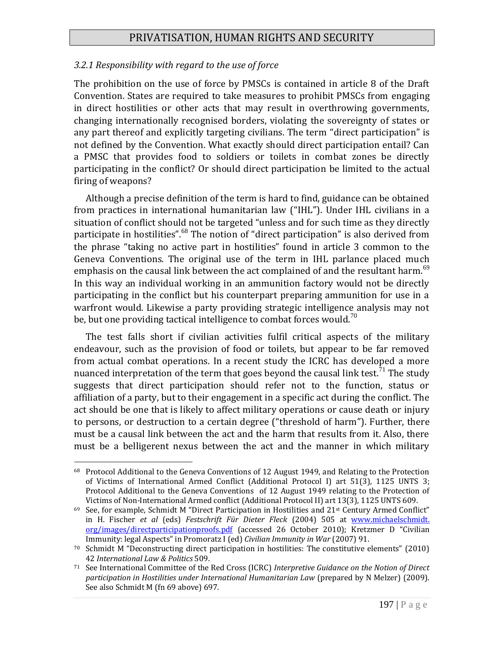#### *3.2.1 Responsibility with regard to the use of force*

 $\overline{a}$ 

The prohibition on the use of force by PMSCs is contained in article 8 of the Draft Convention. States are required to take measures to prohibit PMSCs from engaging in direct hostilities or other acts that may result in overthrowing governments, changing internationally recognised borders, violating the sovereignty of states or any part thereof and explicitly targeting civilians. The term "direct participation" is not defined by the Convention. What exactly should direct participation entail? Can a PMSC that provides food to soldiers or toilets in combat zones be directly participating in the conflict? Or should direct participation be limited to the actual firing of weapons?

Although a precise definition of the term is hard to find, guidance can be obtained from practices in international humanitarian law ("IHL"). Under IHL civilians in a situation of conflict should not be targeted "unless and for such time as they directly participate in hostilities".<sup>68</sup> The notion of "direct participation" is also derived from the phrase "taking no active part in hostilities" found in article 3 common to the Geneva Conventions. The original use of the term in IHL parlance placed much emphasis on the causal link between the act complained of and the resultant harm.<sup>69</sup> In this way an individual working in an ammunition factory would not be directly participating in the conflict but his counterpart preparing ammunition for use in a warfront would. Likewise a party providing strategic intelligence analysis may not be, but one providing tactical intelligence to combat forces would.<sup>70</sup>

The test falls short if civilian activities fulfil critical aspects of the military endeavour, such as the provision of food or toilets, but appear to be far removed from actual combat operations. In a recent study the ICRC has developed a more nuanced interpretation of the term that goes beyond the causal link test.<sup>71</sup> The study suggests that direct participation should refer not to the function, status or affiliation of a party, but to their engagement in a specific act during the conflict. The act should be one that is likely to affect military operations or cause death or injury to persons, or destruction to a certain degree ("threshold of harm"). Further, there must be a causal link between the act and the harm that results from it. Also, there must be a belligerent nexus between the act and the manner in which military

<sup>68</sup> Protocol Additional to the Geneva Conventions of 12 August 1949, and Relating to the Protection of Victims of International Armed Conflict (Additional Protocol I) art 51(3), 1125 UNTS 3; Protocol Additional to the Geneva Conventions of 12 August 1949 relating to the Protection of Victims of Non-International Armed conflict (Additional Protocol II) art 13(3), 1125 UNTS 609.

 $69$  See, for example, Schmidt M "Direct Participation in Hostilities and  $21$ <sup>st</sup> Century Armed Conflict" in H. Fischer *et al* (eds) *Festschrift Für Dieter Fleck* (2004) 505 at www.michaelschmidt. org/images/directparticipationproofs.pdf (accessed 26 October 2010); Kretzmer D "Civilian Immunity: legal Aspects" in Promoratz I (ed) *Civilian Immunity in War* (2007) 91.

<sup>70</sup> Schmidt M "Deconstructing direct participation in hostilities: The constitutive elements" (2010) 42 *International Law & Politics* 509.

<sup>71</sup> See International Committee of the Red Cross (ICRC) *Interpretive Guidance on the Notion of Direct participation in Hostilities under International Humanitarian Law* (prepared by N Melzer) (2009). See also Schmidt M (fn 69 above) 697.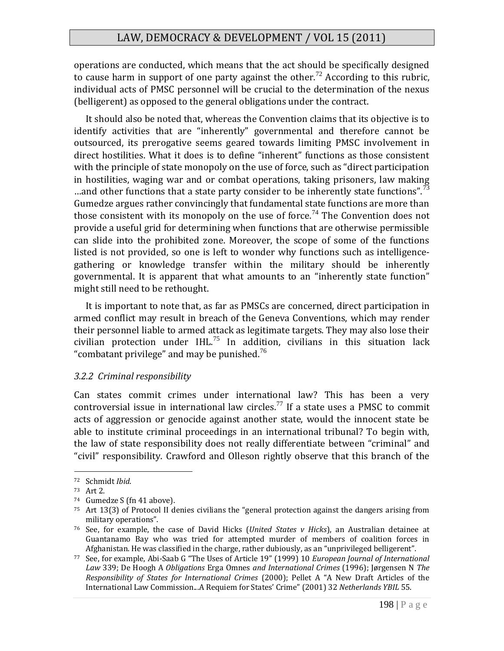operations are conducted, which means that the act should be specifically designed to cause harm in support of one party against the other.<sup>72</sup> According to this rubric, individual acts of PMSC personnel will be crucial to the determination of the nexus (belligerent) as opposed to the general obligations under the contract.

It should also be noted that, whereas the Convention claims that its objective is to identify activities that are "inherently" governmental and therefore cannot be outsourced, its prerogative seems geared towards limiting PMSC involvement in direct hostilities. What it does is to define "inherent" functions as those consistent with the principle of state monopoly on the use of force, such as "direct participation in hostilities, waging war and or combat operations, taking prisoners, law making ...and other functions that a state party consider to be inherently state functions".<sup>73</sup> Gumedze argues rather convincingly that fundamental state functions are more than those consistent with its monopoly on the use of force.<sup>74</sup> The Convention does not provide a useful grid for determining when functions that are otherwise permissible can slide into the prohibited zone. Moreover, the scope of some of the functions listed is not provided, so one is left to wonder why functions such as intelligencegathering or knowledge transfer within the military should be inherently governmental. It is apparent that what amounts to an "inherently state function" might still need to be rethought.

It is important to note that, as far as PMSCs are concerned, direct participation in armed conflict may result in breach of the Geneva Conventions, which may render their personnel liable to armed attack as legitimate targets. They may also lose their civilian protection under  $IHL$ <sup>75</sup> In addition, civilians in this situation lack "combatant privilege" and may be punished.<sup>76</sup>

#### *3.2.2 Criminal responsibility*

Can states commit crimes under international law? This has been a very controversial issue in international law circles.<sup>77</sup> If a state uses a PMSC to commit acts of aggression or genocide against another state, would the innocent state be able to institute criminal proceedings in an international tribunal? To begin with, the law of state responsibility does not really differentiate between "criminal" and "civil" responsibility. Crawford and Olleson rightly observe that this branch of the

<sup>72</sup> Schmidt *Ibid*.

<sup>73</sup> Art 2.

<sup>74</sup> Gumedze S (fn 41 above).

<sup>75</sup> Art 13(3) of Protocol II denies civilians the "general protection against the dangers arising from military operations".

<sup>76</sup> See, for example, the case of David Hicks (*United States v Hicks*), an Australian detainee at Guantanamo Bay who was tried for attempted murder of members of coalition forces in Afghanistan. He was classified in the charge, rather dubiously, as an "unprivileged belligerent".

<sup>77</sup> See, for example, Abi-Saab G "The Uses of Article 19" (1999) 10 *European Journal of International Law* 339; De Hoogh A *Obligations* Erga Omnes *and International Crimes* (1996); Jørgensen N *The Responsibility of States for International Crimes* (2000); Pellet A "A New Draft Articles of the International Law Commission...A Requiem for States' Crime" (2001) 32 *Netherlands YBIL* 55.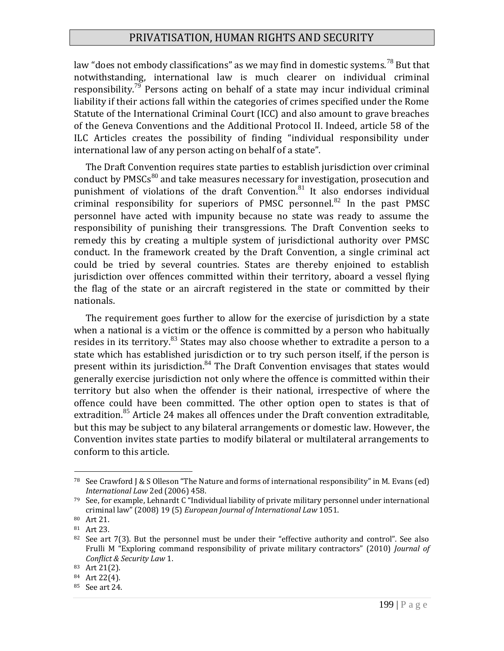law "does not embody classifications" as we may find in domestic systems.<sup>78</sup> But that notwithstanding, international law is much clearer on individual criminal responsibility.<sup>79</sup> Persons acting on behalf of a state may incur individual criminal liability if their actions fall within the categories of crimes specified under the Rome Statute of the International Criminal Court (ICC) and also amount to grave breaches of the Geneva Conventions and the Additional Protocol II. Indeed, article 58 of the ILC Articles creates the possibility of finding "individual responsibility under international law of any person acting on behalf of a state".

The Draft Convention requires state parties to establish jurisdiction over criminal conduct by PMS $Cs^{80}$  and take measures necessary for investigation, prosecution and punishment of violations of the draft Convention.<sup>81</sup> It also endorses individual criminal responsibility for superiors of PMSC personnel.<sup>82</sup> In the past PMSC personnel have acted with impunity because no state was ready to assume the responsibility of punishing their transgressions. The Draft Convention seeks to remedy this by creating a multiple system of jurisdictional authority over PMSC conduct. In the framework created by the Draft Convention, a single criminal act could be tried by several countries. States are thereby enjoined to establish jurisdiction over offences committed within their territory, aboard a vessel flying the flag of the state or an aircraft registered in the state or committed by their nationals.

The requirement goes further to allow for the exercise of jurisdiction by a state when a national is a victim or the offence is committed by a person who habitually resides in its territory.<sup>83</sup> States may also choose whether to extradite a person to a state which has established jurisdiction or to try such person itself, if the person is present within its jurisdiction. $84$  The Draft Convention envisages that states would generally exercise jurisdiction not only where the offence is committed within their territory but also when the offender is their national, irrespective of where the offence could have been committed. The other option open to states is that of extradition.<sup>85</sup> Article 24 makes all offences under the Draft convention extraditable, but this may be subject to any bilateral arrangements or domestic law. However, the Convention invites state parties to modify bilateral or multilateral arrangements to conform to this article.

<sup>&</sup>lt;sup>78</sup> See Crawford J & S Olleson "The Nature and forms of international responsibility" in M. Evans (ed) *International Law* 2ed (2006) 458.

<sup>79</sup> See, for example, Lehnardt C "Individual liability of private military personnel under international criminal law" (2008) 19 (5) *European Journal of International Law* 1051.

<sup>80</sup> Art 21.

<sup>81</sup> Art 23.

 $82$  See art 7(3). But the personnel must be under their "effective authority and control". See also Frulli M "Exploring command responsibility of private military contractors" (2010) *Journal of Conflict & Security Law* 1.

<sup>83</sup> Art 21(2).

<sup>84</sup> Art 22(4).

<sup>85</sup> See art 24.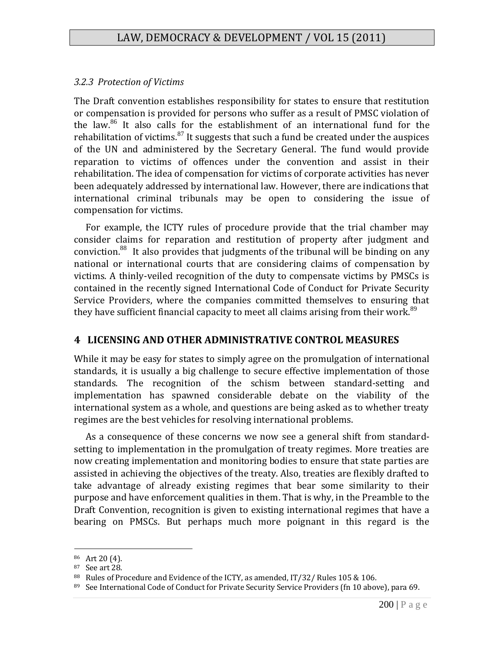#### *3.2.3 Protection of Victims*

The Draft convention establishes responsibility for states to ensure that restitution or compensation is provided for persons who suffer as a result of PMSC violation of the law.<sup>86</sup> It also calls for the establishment of an international fund for the rehabilitation of victims. $87$  It suggests that such a fund be created under the auspices of the UN and administered by the Secretary General. The fund would provide reparation to victims of offences under the convention and assist in their rehabilitation. The idea of compensation for victims of corporate activities has never been adequately addressed by international law. However, there are indications that international criminal tribunals may be open to considering the issue of compensation for victims.

For example, the ICTY rules of procedure provide that the trial chamber may consider claims for reparation and restitution of property after judgment and conviction. $^{88}$  It also provides that judgments of the tribunal will be binding on any national or international courts that are considering claims of compensation by victims. A thinly-veiled recognition of the duty to compensate victims by PMSCs is contained in the recently signed International Code of Conduct for Private Security Service Providers, where the companies committed themselves to ensuring that they have sufficient financial capacity to meet all claims arising from their work.<sup>89</sup>

## **4 LICENSING AND OTHER ADMINISTRATIVE CONTROL MEASURES**

While it may be easy for states to simply agree on the promulgation of international standards, it is usually a big challenge to secure effective implementation of those standards. The recognition of the schism between standard-setting and implementation has spawned considerable debate on the viability of the international system as a whole, and questions are being asked as to whether treaty regimes are the best vehicles for resolving international problems.

As a consequence of these concerns we now see a general shift from standardsetting to implementation in the promulgation of treaty regimes. More treaties are now creating implementation and monitoring bodies to ensure that state parties are assisted in achieving the objectives of the treaty. Also, treaties are flexibly drafted to take advantage of already existing regimes that bear some similarity to their purpose and have enforcement qualities in them. That is why, in the Preamble to the Draft Convention, recognition is given to existing international regimes that have a bearing on PMSCs. But perhaps much more poignant in this regard is the

<sup>86</sup> Art 20 (4).

<sup>87</sup> See art 28.

<sup>88</sup> Rules of Procedure and Evidence of the ICTY, as amended, IT/32/ Rules 105 & 106.

<sup>89</sup> See International Code of Conduct for Private Security Service Providers (fn 10 above), para 69.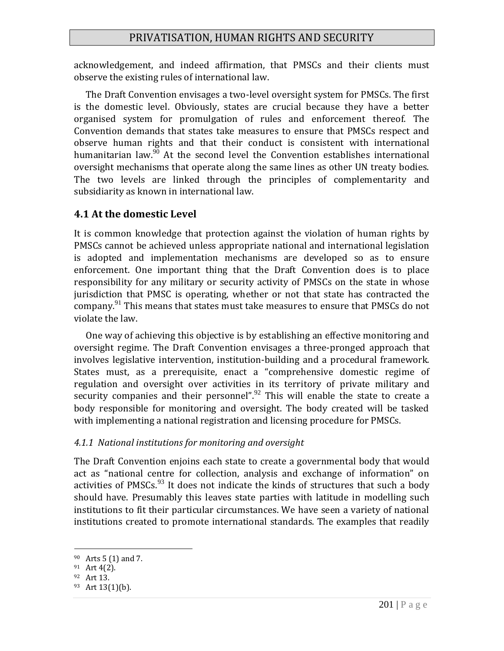acknowledgement, and indeed affirmation, that PMSCs and their clients must observe the existing rules of international law.

The Draft Convention envisages a two-level oversight system for PMSCs. The first is the domestic level. Obviously, states are crucial because they have a better organised system for promulgation of rules and enforcement thereof. The Convention demands that states take measures to ensure that PMSCs respect and observe human rights and that their conduct is consistent with international humanitarian law.<sup>90</sup> At the second level the Convention establishes international oversight mechanisms that operate along the same lines as other UN treaty bodies. The two levels are linked through the principles of complementarity and subsidiarity as known in international law.

#### **4.1 At the domestic Level**

It is common knowledge that protection against the violation of human rights by PMSCs cannot be achieved unless appropriate national and international legislation is adopted and implementation mechanisms are developed so as to ensure enforcement. One important thing that the Draft Convention does is to place responsibility for any military or security activity of PMSCs on the state in whose jurisdiction that PMSC is operating, whether or not that state has contracted the company.<sup>91</sup> This means that states must take measures to ensure that PMSCs do not violate the law.

One way of achieving this objective is by establishing an effective monitoring and oversight regime. The Draft Convention envisages a three-pronged approach that involves legislative intervention, institution-building and a procedural framework. States must, as a prerequisite, enact a "comprehensive domestic regime of regulation and oversight over activities in its territory of private military and security companies and their personnel".<sup>92</sup> This will enable the state to create a body responsible for monitoring and oversight. The body created will be tasked with implementing a national registration and licensing procedure for PMSCs.

#### *4.1.1 National institutions for monitoring and oversight*

The Draft Convention enjoins each state to create a governmental body that would act as "national centre for collection, analysis and exchange of information" on activities of PMSCs. $93$  It does not indicate the kinds of structures that such a body should have. Presumably this leaves state parties with latitude in modelling such institutions to fit their particular circumstances. We have seen a variety of national institutions created to promote international standards. The examples that readily

<sup>90</sup> Arts 5 (1) and 7.

<sup>91</sup> Art 4(2).

<sup>92</sup> Art 13.

<sup>93</sup> Art 13(1)(b).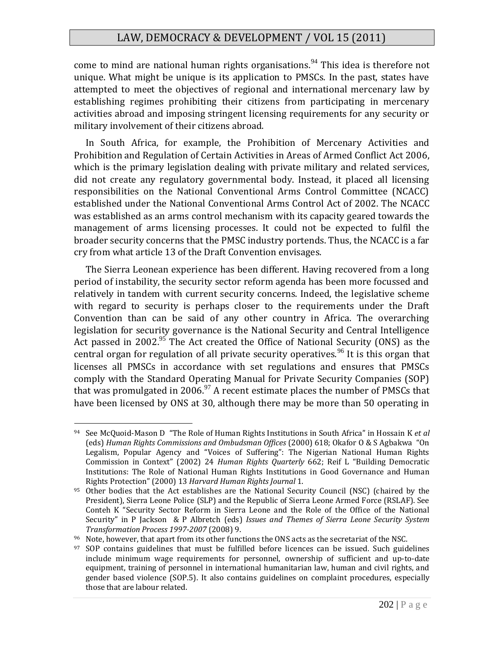come to mind are national human rights organisations.<sup>94</sup> This idea is therefore not unique. What might be unique is its application to PMSCs. In the past, states have attempted to meet the objectives of regional and international mercenary law by establishing regimes prohibiting their citizens from participating in mercenary activities abroad and imposing stringent licensing requirements for any security or military involvement of their citizens abroad.

In South Africa, for example, the Prohibition of Mercenary Activities and Prohibition and Regulation of Certain Activities in Areas of Armed Conflict Act 2006, which is the primary legislation dealing with private military and related services, did not create any regulatory governmental body. Instead, it placed all licensing responsibilities on the National Conventional Arms Control Committee (NCACC) established under the National Conventional Arms Control Act of 2002. The NCACC was established as an arms control mechanism with its capacity geared towards the management of arms licensing processes. It could not be expected to fulfil the broader security concerns that the PMSC industry portends. Thus, the NCACC is a far cry from what article 13 of the Draft Convention envisages.

The Sierra Leonean experience has been different. Having recovered from a long period of instability, the security sector reform agenda has been more focussed and relatively in tandem with current security concerns. Indeed, the legislative scheme with regard to security is perhaps closer to the requirements under the Draft Convention than can be said of any other country in Africa. The overarching legislation for security governance is the National Security and Central Intelligence Act passed in 2002.<sup>95</sup> The Act created the Office of National Security (ONS) as the central organ for regulation of all private security operatives.<sup>96</sup> It is this organ that licenses all PMSCs in accordance with set regulations and ensures that PMSCs comply with the Standard Operating Manual for Private Security Companies (SOP) that was promulgated in 2006.<sup>97</sup> A recent estimate places the number of PMSCs that have been licensed by ONS at 30, although there may be more than 50 operating in

<sup>94</sup> See McQuoid-Mason D "The Role of Human Rights Institutions in South Africa" in Hossain K *et al* (eds) *Human Rights Commissions and Ombudsman Offices* (2000) 618; Okafor O & S Agbakwa "On Legalism, Popular Agency and "Voices of Suffering": The Nigerian National Human Rights Commission in Context" (2002) 24 *Human Rights Quarterly* 662; Reif L "Building Democratic Institutions: The Role of National Human Rights Institutions in Good Governance and Human Rights Protection" (2000) 13 *Harvard Human Rights Journal* 1.

<sup>95</sup> Other bodies that the Act establishes are the National Security Council (NSC) (chaired by the President), Sierra Leone Police (SLP) and the Republic of Sierra Leone Armed Force (RSLAF). See Conteh K "Security Sector Reform in Sierra Leone and the Role of the Office of the National Security" in P Jackson & P Albretch (eds) *Issues and Themes of Sierra Leone Security System Transformation Process 1997-2007* (2008) 9.

<sup>96</sup> Note, however, that apart from its other functions the ONS acts as the secretariat of the NSC.

<sup>97</sup> SOP contains guidelines that must be fulfilled before licences can be issued. Such guidelines include minimum wage requirements for personnel, ownership of sufficient and up-to-date equipment, training of personnel in international humanitarian law, human and civil rights, and gender based violence (SOP.5). It also contains guidelines on complaint procedures, especially those that are labour related.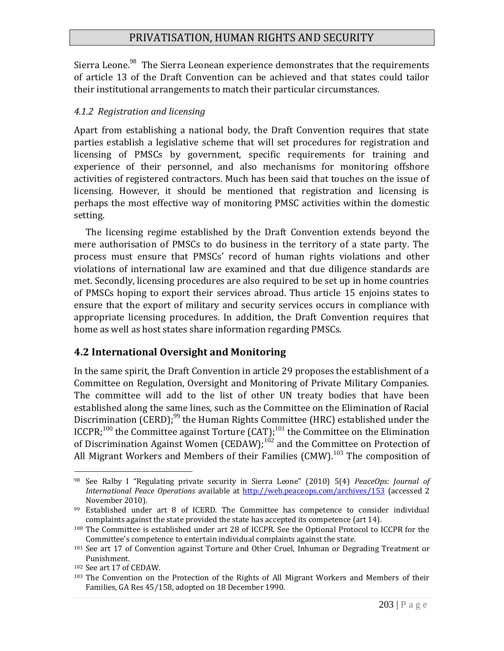Sierra Leone.<sup>98</sup> The Sierra Leonean experience demonstrates that the requirements of article 13 of the Draft Convention can be achieved and that states could tailor their institutional arrangements to match their particular circumstances.

#### *4.1.2 Registration and licensing*

Apart from establishing a national body, the Draft Convention requires that state parties establish a legislative scheme that will set procedures for registration and licensing of PMSCs by government, specific requirements for training and experience of their personnel, and also mechanisms for monitoring offshore activities of registered contractors. Much has been said that touches on the issue of licensing. However, it should be mentioned that registration and licensing is perhaps the most effective way of monitoring PMSC activities within the domestic setting.

The licensing regime established by the Draft Convention extends beyond the mere authorisation of PMSCs to do business in the territory of a state party. The process must ensure that PMSCs' record of human rights violations and other violations of international law are examined and that due diligence standards are met. Secondly, licensing procedures are also required to be set up in home countries of PMSCs hoping to export their services abroad. Thus article 15 enjoins states to ensure that the export of military and security services occurs in compliance with appropriate licensing procedures. In addition, the Draft Convention requires that home as well as host states share information regarding PMSCs.

#### **4.2 International Oversight and Monitoring**

In the same spirit, the Draft Convention in article 29 proposes the establishment of a Committee on Regulation, Oversight and Monitoring of Private Military Companies. The committee will add to the list of other UN treaty bodies that have been established along the same lines, such as the Committee on the Elimination of Racial Discrimination  $(CERD)$ ;<sup>99</sup> the Human Rights Committee (HRC) established under the ICCPR;<sup>100</sup> the Committee against Torture (CAT);<sup>101</sup> the Committee on the Elimination of Discrimination Against Women (CEDAW);<sup>102</sup> and the Committee on Protection of All Migrant Workers and Members of their Families (CMW). $^{103}$  The composition of

<sup>98</sup> See Ralby I "Regulating private security in Sierra Leone" (2010) 5(4) *PeaceOps: Journal of International Peace Operations* available at<http://web.peaceops.com/archives/153> (accessed 2 November 2010).

<sup>99</sup> Established under art 8 of ICERD. The Committee has competence to consider individual complaints against the state provided the state has accepted its competence (art 14).

<sup>100</sup> The Committee is established under art 28 of ICCPR. See the Optional Protocol to ICCPR for the Committee's competence to entertain individual complaints against the state.

<sup>101</sup> See art 17 of Convention against Torture and Other Cruel, Inhuman or Degrading Treatment or Punishment.

<sup>102</sup> See art 17 of CEDAW.

<sup>&</sup>lt;sup>103</sup> The Convention on the Protection of the Rights of All Migrant Workers and Members of their Families, GA Res 45/158, adopted on 18 December 1990.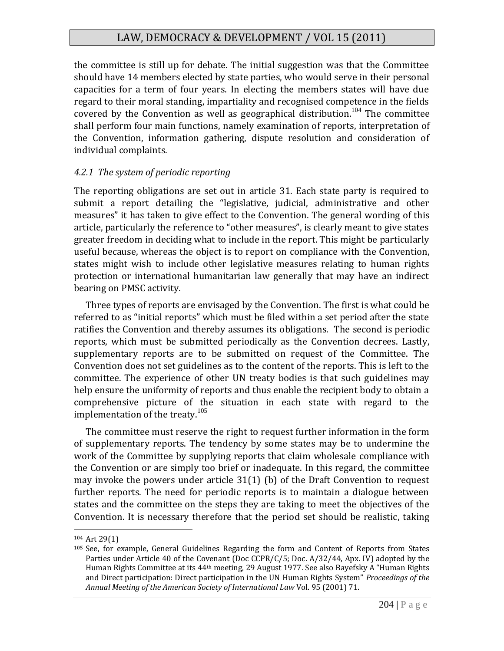the committee is still up for debate. The initial suggestion was that the Committee should have 14 members elected by state parties, who would serve in their personal capacities for a term of four years. In electing the members states will have due regard to their moral standing, impartiality and recognised competence in the fields covered by the Convention as well as geographical distribution.<sup>104</sup> The committee shall perform four main functions, namely examination of reports, interpretation of the Convention, information gathering, dispute resolution and consideration of individual complaints.

#### *4.2.1 The system of periodic reporting*

The reporting obligations are set out in article 31. Each state party is required to submit a report detailing the "legislative, judicial, administrative and other measures" it has taken to give effect to the Convention. The general wording of this article, particularly the reference to "other measures", is clearly meant to give states greater freedom in deciding what to include in the report. This might be particularly useful because, whereas the object is to report on compliance with the Convention, states might wish to include other legislative measures relating to human rights protection or international humanitarian law generally that may have an indirect bearing on PMSC activity.

Three types of reports are envisaged by the Convention. The first is what could be referred to as "initial reports" which must be filed within a set period after the state ratifies the Convention and thereby assumes its obligations. The second is periodic reports, which must be submitted periodically as the Convention decrees. Lastly, supplementary reports are to be submitted on request of the Committee. The Convention does not set guidelines as to the content of the reports. This is left to the committee. The experience of other UN treaty bodies is that such guidelines may help ensure the uniformity of reports and thus enable the recipient body to obtain a comprehensive picture of the situation in each state with regard to the implementation of the treaty.<sup>105</sup>

The committee must reserve the right to request further information in the form of supplementary reports. The tendency by some states may be to undermine the work of the Committee by supplying reports that claim wholesale compliance with the Convention or are simply too brief or inadequate. In this regard, the committee may invoke the powers under article 31(1) (b) of the Draft Convention to request further reports. The need for periodic reports is to maintain a dialogue between states and the committee on the steps they are taking to meet the objectives of the Convention. It is necessary therefore that the period set should be realistic, taking

<sup>104</sup> Art 29(1)

<sup>105</sup> See, for example, General Guidelines Regarding the form and Content of Reports from States Parties under Article 40 of the Covenant (Doc CCPR/C/5; Doc. A/32/44, Apx. IV) adopted by the Human Rights Committee at its 44th meeting, 29 August 1977. See also Bayefsky A "Human Rights and Direct participation: Direct participation in the UN Human Rights System" *Proceedings of the Annual Meeting of the American Society of International Law* Vol. 95 (2001) 71.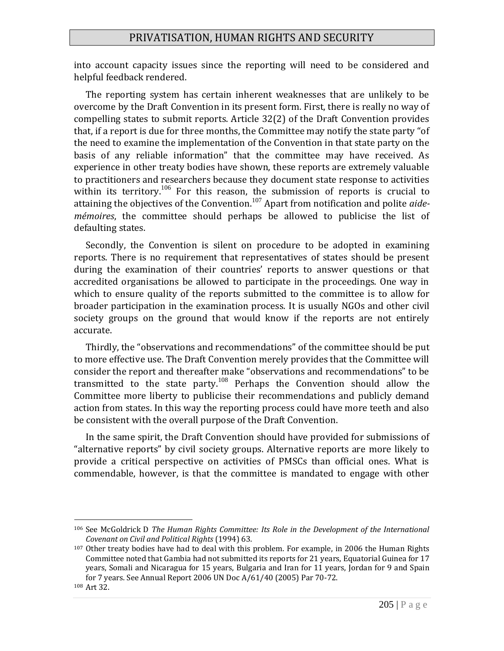into account capacity issues since the reporting will need to be considered and helpful feedback rendered.

The reporting system has certain inherent weaknesses that are unlikely to be overcome by the Draft Convention in its present form. First, there is really no way of compelling states to submit reports. Article 32(2) of the Draft Convention provides that, if a report is due for three months, the Committee may notify the state party "of the need to examine the implementation of the Convention in that state party on the basis of any reliable information" that the committee may have received. As experience in other treaty bodies have shown, these reports are extremely valuable to practitioners and researchers because they document state response to activities within its territory.<sup>106</sup> For this reason, the submission of reports is crucial to attaining the objectives of the Convention.<sup>107</sup> Apart from notification and polite *aidemémoires*, the committee should perhaps be allowed to publicise the list of defaulting states.

Secondly, the Convention is silent on procedure to be adopted in examining reports. There is no requirement that representatives of states should be present during the examination of their countries' reports to answer questions or that accredited organisations be allowed to participate in the proceedings. One way in which to ensure quality of the reports submitted to the committee is to allow for broader participation in the examination process. It is usually NGOs and other civil society groups on the ground that would know if the reports are not entirely accurate.

Thirdly, the "observations and recommendations" of the committee should be put to more effective use. The Draft Convention merely provides that the Committee will consider the report and thereafter make "observations and recommendations" to be transmitted to the state party.<sup>108</sup> Perhaps the Convention should allow the Committee more liberty to publicise their recommendations and publicly demand action from states. In this way the reporting process could have more teeth and also be consistent with the overall purpose of the Draft Convention.

In the same spirit, the Draft Convention should have provided for submissions of "alternative reports" by civil society groups. Alternative reports are more likely to provide a critical perspective on activities of PMSCs than official ones. What is commendable, however, is that the committee is mandated to engage with other

<sup>106</sup> See McGoldrick D *The Human Rights Committee: Its Role in the Development of the International Covenant on Civil and Political Rights* (1994) 63.

<sup>107</sup> Other treaty bodies have had to deal with this problem. For example, in 2006 the Human Rights Committee noted that Gambia had not submitted its reports for 21 years, Equatorial Guinea for 17 years, Somali and Nicaragua for 15 years, Bulgaria and Iran for 11 years, Jordan for 9 and Spain for 7 years. See Annual Report 2006 UN Doc A/61/40 (2005) Par 70-72.

<sup>108</sup> Art 32.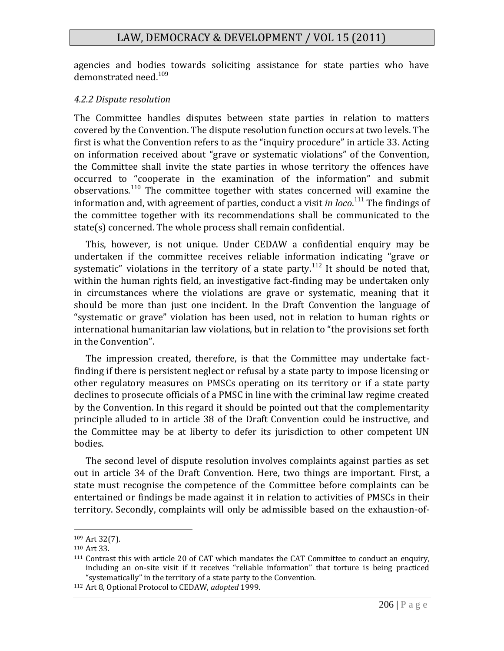agencies and bodies towards soliciting assistance for state parties who have demonstrated need.<sup>109</sup>

#### *4.2.2 Dispute resolution*

The Committee handles disputes between state parties in relation to matters covered by the Convention. The dispute resolution function occurs at two levels. The first is what the Convention refers to as the "inquiry procedure" in article 33. Acting on information received about "grave or systematic violations" of the Convention, the Committee shall invite the state parties in whose territory the offences have occurred to "cooperate in the examination of the information" and submit observations.<sup>110</sup> The committee together with states concerned will examine the information and, with agreement of parties, conduct a visit *in loco*. <sup>111</sup> The findings of the committee together with its recommendations shall be communicated to the state(s) concerned. The whole process shall remain confidential.

This, however, is not unique. Under CEDAW a confidential enquiry may be undertaken if the committee receives reliable information indicating "grave or systematic" violations in the territory of a state party.<sup>112</sup> It should be noted that, within the human rights field, an investigative fact-finding may be undertaken only in circumstances where the violations are grave or systematic, meaning that it should be more than just one incident. In the Draft Convention the language of "systematic or grave" violation has been used, not in relation to human rights or international humanitarian law violations, but in relation to "the provisions set forth in the Convention".

The impression created, therefore, is that the Committee may undertake factfinding if there is persistent neglect or refusal by a state party to impose licensing or other regulatory measures on PMSCs operating on its territory or if a state party declines to prosecute officials of a PMSC in line with the criminal law regime created by the Convention. In this regard it should be pointed out that the complementarity principle alluded to in article 38 of the Draft Convention could be instructive, and the Committee may be at liberty to defer its jurisdiction to other competent UN bodies.

The second level of dispute resolution involves complaints against parties as set out in article 34 of the Draft Convention. Here, two things are important. First, a state must recognise the competence of the Committee before complaints can be entertained or findings be made against it in relation to activities of PMSCs in their territory. Secondly, complaints will only be admissible based on the exhaustion-of-

<sup>109</sup> Art 32(7).

<sup>110</sup> Art 33.

<sup>111</sup> Contrast this with article 20 of CAT which mandates the CAT Committee to conduct an enquiry, including an on-site visit if it receives "reliable information" that torture is being practiced "systematically" in the territory of a state party to the Convention.

<sup>112</sup> Art 8, Optional Protocol to CEDAW, *adopted* 1999.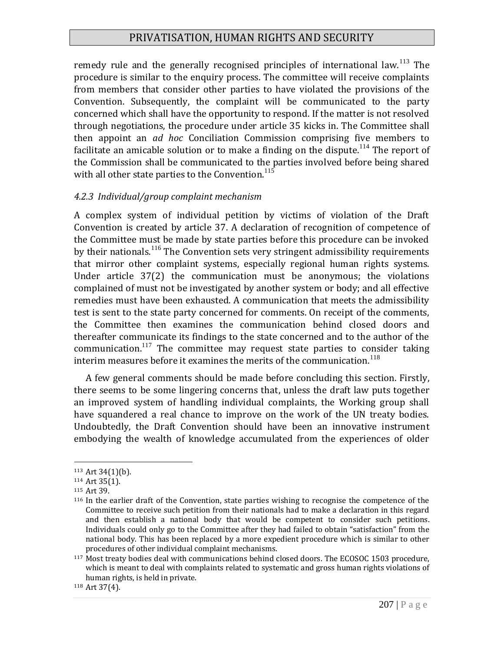remedy rule and the generally recognised principles of international law.<sup>113</sup> The procedure is similar to the enquiry process. The committee will receive complaints from members that consider other parties to have violated the provisions of the Convention. Subsequently, the complaint will be communicated to the party concerned which shall have the opportunity to respond. If the matter is not resolved through negotiations, the procedure under article 35 kicks in. The Committee shall then appoint an *ad hoc* Conciliation Commission comprising five members to facilitate an amicable solution or to make a finding on the dispute.<sup>114</sup> The report of the Commission shall be communicated to the parties involved before being shared with all other state parties to the Convention.<sup>115</sup>

#### *4.2.3 Individual/group complaint mechanism*

A complex system of individual petition by victims of violation of the Draft Convention is created by article 37. A declaration of recognition of competence of the Committee must be made by state parties before this procedure can be invoked by their nationals.<sup>116</sup> The Convention sets very stringent admissibility requirements that mirror other complaint systems, especially regional human rights systems. Under article 37(2) the communication must be anonymous; the violations complained of must not be investigated by another system or body; and all effective remedies must have been exhausted. A communication that meets the admissibility test is sent to the state party concerned for comments. On receipt of the comments, the Committee then examines the communication behind closed doors and thereafter communicate its findings to the state concerned and to the author of the communication.<sup>117</sup> The committee may request state parties to consider taking interim measures before it examines the merits of the communication.<sup>118</sup>

A few general comments should be made before concluding this section. Firstly, there seems to be some lingering concerns that, unless the draft law puts together an improved system of handling individual complaints, the Working group shall have squandered a real chance to improve on the work of the UN treaty bodies. Undoubtedly, the Draft Convention should have been an innovative instrument embodying the wealth of knowledge accumulated from the experiences of older

<sup>113</sup> Art 34(1)(b).

<sup>114</sup> Art 35(1).

<sup>115</sup> Art 39.

<sup>116</sup> In the earlier draft of the Convention, state parties wishing to recognise the competence of the Committee to receive such petition from their nationals had to make a declaration in this regard and then establish a national body that would be competent to consider such petitions. Individuals could only go to the Committee after they had failed to obtain "satisfaction" from the national body. This has been replaced by a more expedient procedure which is similar to other procedures of other individual complaint mechanisms.

<sup>117</sup> Most treaty bodies deal with communications behind closed doors. The ECOSOC 1503 procedure, which is meant to deal with complaints related to systematic and gross human rights violations of human rights, is held in private.

<sup>118</sup> Art 37(4).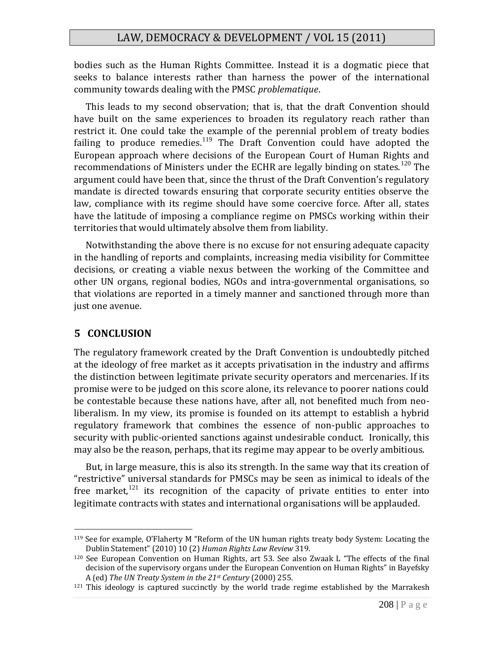bodies such as the Human Rights Committee. Instead it is a dogmatic piece that seeks to balance interests rather than harness the power of the international community towards dealing with the PMSC *problematique*.

This leads to my second observation; that is, that the draft Convention should have built on the same experiences to broaden its regulatory reach rather than restrict it. One could take the example of the perennial problem of treaty bodies failing to produce remedies.<sup>119</sup> The Draft Convention could have adopted the European approach where decisions of the European Court of Human Rights and recommendations of Ministers under the ECHR are legally binding on states.<sup>120</sup> The argument could have been that, since the thrust of the Draft Convention's regulatory mandate is directed towards ensuring that corporate security entities observe the law, compliance with its regime should have some coercive force. After all, states have the latitude of imposing a compliance regime on PMSCs working within their territories that would ultimately absolve them from liability.

Notwithstanding the above there is no excuse for not ensuring adequate capacity in the handling of reports and complaints, increasing media visibility for Committee decisions, or creating a viable nexus between the working of the Committee and other UN organs, regional bodies, NGOs and intra-governmental organisations, so that violations are reported in a timely manner and sanctioned through more than just one avenue.

#### **5 CONCLUSION**

 $\overline{a}$ 

The regulatory framework created by the Draft Convention is undoubtedly pitched at the ideology of free market as it accepts privatisation in the industry and affirms the distinction between legitimate private security operators and mercenaries. If its promise were to be judged on this score alone, its relevance to poorer nations could be contestable because these nations have, after all, not benefited much from neoliberalism. In my view, its promise is founded on its attempt to establish a hybrid regulatory framework that combines the essence of non-public approaches to security with public-oriented sanctions against undesirable conduct. Ironically, this may also be the reason, perhaps, that its regime may appear to be overly ambitious.

But, in large measure, this is also its strength. In the same way that its creation of "restrictive" universal standards for PMSCs may be seen as inimical to ideals of the free market, $121$  its recognition of the capacity of private entities to enter into legitimate contracts with states and international organisations will be applauded.

<sup>119</sup> See for example, O'Flaherty M "Reform of the UN human rights treaty body System: Locating the Dublin Statement" (2010) 10 (2) *Human Rights Law Review* 319.

<sup>120</sup> See European Convention on Human Rights, art 53. See also Zwaak L "The effects of the final decision of the supervisory organs under the European Convention on Human Rights" in Bayefsky A (ed) *The UN Treaty System in the 21st Century* (2000) 255.

 $121$  This ideology is captured succinctly by the world trade regime established by the Marrakesh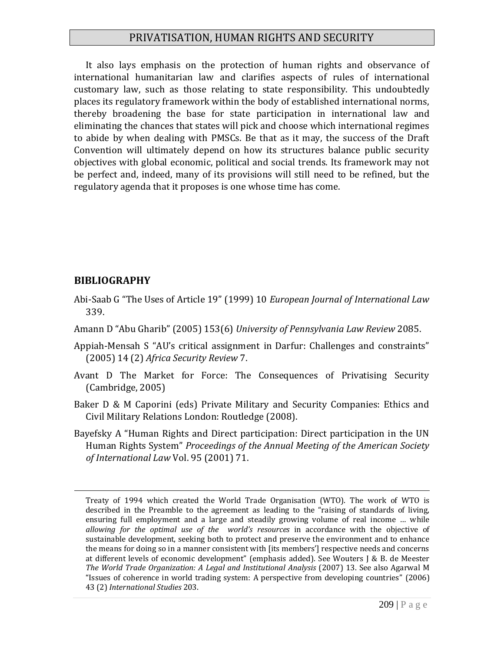It also lays emphasis on the protection of human rights and observance of international humanitarian law and clarifies aspects of rules of international customary law, such as those relating to state responsibility. This undoubtedly places its regulatory framework within the body of established international norms, thereby broadening the base for state participation in international law and eliminating the chances that states will pick and choose which international regimes to abide by when dealing with PMSCs. Be that as it may, the success of the Draft Convention will ultimately depend on how its structures balance public security objectives with global economic, political and social trends. Its framework may not be perfect and, indeed, many of its provisions will still need to be refined, but the regulatory agenda that it proposes is one whose time has come.

#### **BIBLIOGRAPHY**

- Abi-Saab G "The Uses of Article 19" (1999) 10 *European Journal of International Law* 339.
- Amann D "Abu Gharib" (2005) 153(6) *University of Pennsylvania Law Review* 2085.
- Appiah-Mensah S "AU's critical assignment in Darfur: Challenges and constraints" (2005) 14 (2) *Africa Security Review* 7.
- Avant D The Market for Force: The Consequences of Privatising Security (Cambridge, 2005)
- Baker D & M Caporini (eds) Private Military and Security Companies: Ethics and Civil Military Relations London: Routledge (2008).
- Bayefsky A "Human Rights and Direct participation: Direct participation in the UN Human Rights System" *Proceedings of the Annual Meeting of the American Society of International Law* Vol. 95 (2001) 71.

Treaty of 1994 which created the World Trade Organisation (WTO). The work of WTO is described in the Preamble to the agreement as leading to the "raising of standards of living, ensuring full employment and a large and steadily growing volume of real income … while *allowing for the optimal use of the world's resources* in accordance with the objective of sustainable development, seeking both to protect and preserve the environment and to enhance the means for doing so in a manner consistent with [its members'] respective needs and concerns at different levels of economic development" (emphasis added). See Wouters J & B. de Meester *The World Trade Organization: A Legal and Institutional Analysis* (2007) 13. See also Agarwal M "Issues of coherence in world trading system: A perspective from developing countries" (2006) 43 (2) *International Studies* 203.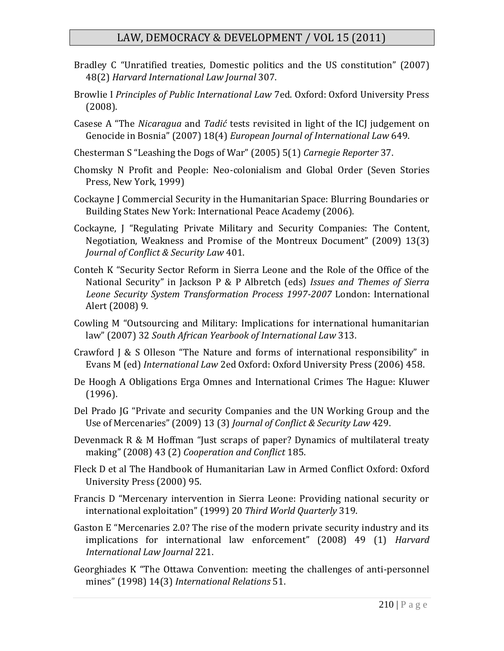- Bradley C "Unratified treaties, Domestic politics and the US constitution" (2007) 48(2) *Harvard International Law Journal* 307.
- Browlie I *Principles of Public International Law* 7ed. Oxford: Oxford University Press (2008).
- Casese A "The *Nicaragua* and *Tadić* tests revisited in light of the ICJ judgement on Genocide in Bosnia" (2007) 18(4) *European Journal of International Law* 649.
- Chesterman S "Leashing the Dogs of War" (2005) 5(1) *Carnegie Reporter* 37.
- Chomsky N Profit and People: Neo-colonialism and Global Order (Seven Stories Press, New York, 1999)
- Cockayne J Commercial Security in the Humanitarian Space: Blurring Boundaries or Building States New York: International Peace Academy (2006).
- Cockayne, J "Regulating Private Military and Security Companies: The Content, Negotiation, Weakness and Promise of the Montreux Document" (2009) 13(3) *Journal of Conflict & Security Law* 401.
- Conteh K "Security Sector Reform in Sierra Leone and the Role of the Office of the National Security" in Jackson P & P Albretch (eds) *Issues and Themes of Sierra Leone Security System Transformation Process 1997-2007* London: International Alert (2008) 9.
- Cowling M "Outsourcing and Military: Implications for international humanitarian law" (2007) 32 *South African Yearbook of International Law* 313.
- Crawford J & S Olleson "The Nature and forms of international responsibility" in Evans M (ed) *International Law* 2ed Oxford: Oxford University Press (2006) 458.
- De Hoogh A Obligations Erga Omnes and International Crimes The Hague: Kluwer (1996).
- Del Prado JG "Private and security Companies and the UN Working Group and the Use of Mercenaries" (2009) 13 (3) *Journal of Conflict & Security Law* 429.
- Devenmack R & M Hoffman "Just scraps of paper? Dynamics of multilateral treaty making" (2008) 43 (2) *Cooperation and Conflict* 185.
- Fleck D et al The Handbook of Humanitarian Law in Armed Conflict Oxford: Oxford University Press (2000) 95.
- Francis D "Mercenary intervention in Sierra Leone: Providing national security or international exploitation" (1999) 20 *Third World Quarterly* 319.
- Gaston E "Mercenaries 2.0? The rise of the modern private security industry and its implications for international law enforcement" (2008) 49 (1) *Harvard International Law Journal* 221.
- Georghiades K "The Ottawa Convention: meeting the challenges of anti-personnel mines" (1998) 14(3) *International Relations* 51.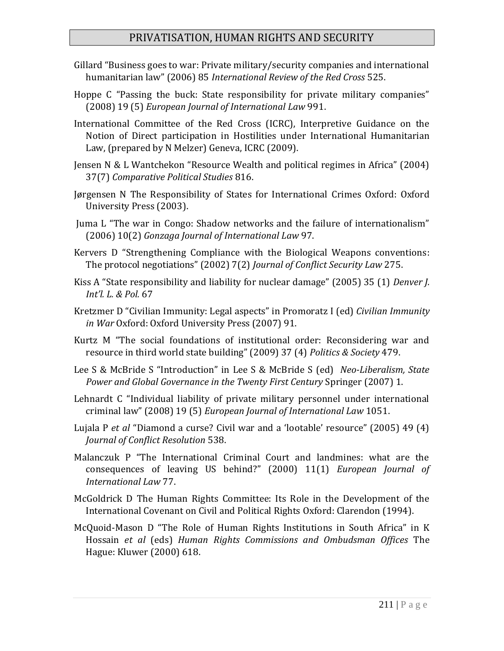- Gillard "Business goes to war: Private military/security companies and international humanitarian law" (2006) 85 *International Review of the Red Cross* 525.
- Hoppe C "Passing the buck: State responsibility for private military companies" (2008) 19 (5) *European Journal of International Law* 991.
- International Committee of the Red Cross (ICRC), Interpretive Guidance on the Notion of Direct participation in Hostilities under International Humanitarian Law, (prepared by N Melzer) Geneva, ICRC (2009).
- Jensen N & L Wantchekon "Resource Wealth and political regimes in Africa" (2004) 37(7) *Comparative Political Studies* 816.
- Jørgensen N The Responsibility of States for International Crimes Oxford: Oxford University Press (2003).
- Juma L "The war in Congo: Shadow networks and the failure of internationalism" (2006) 10(2) *Gonzaga Journal of International Law* 97.
- Kervers D "Strengthening Compliance with the Biological Weapons conventions: The protocol negotiations" (2002) 7(2) *Journal of Conflict Security Law* 275.
- Kiss A "State responsibility and liability for nuclear damage" (2005) 35 (1) *Denver J. Int'l. L. & Pol.* 67
- Kretzmer D "Civilian Immunity: Legal aspects" in Promoratz I (ed) *Civilian Immunity in War* Oxford: Oxford University Press (2007) 91.
- Kurtz M "The social foundations of institutional order: Reconsidering war and resource in third world state building" (2009) 37 (4) *Politics & Society* 479.
- Lee S & McBride S "Introduction" in Lee S & McBride S (ed) *Neo-Liberalism, State Power and Global Governance in the Twenty First Century* Springer (2007) 1.
- Lehnardt C "Individual liability of private military personnel under international criminal law" (2008) 19 (5) *European Journal of International Law* 1051.
- Lujala P *et al* "Diamond a curse? Civil war and a 'lootable' resource" (2005) 49 (4) *Journal of Conflict Resolution* 538.
- Malanczuk P "The International Criminal Court and landmines: what are the consequences of leaving US behind?" (2000) 11(1) *European Journal of International Law* 77.
- McGoldrick D The Human Rights Committee: Its Role in the Development of the International Covenant on Civil and Political Rights Oxford: Clarendon (1994).
- McQuoid-Mason D "The Role of Human Rights Institutions in South Africa" in K Hossain *et al* (eds) *Human Rights Commissions and Ombudsman Offices* The Hague: Kluwer (2000) 618.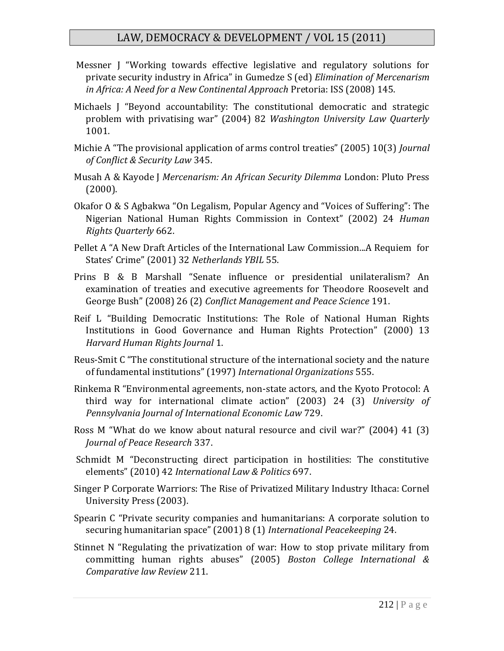- Messner J "Working towards effective legislative and regulatory solutions for private security industry in Africa" in Gumedze S (ed) *Elimination of Mercenarism in Africa: A Need for a New Continental Approach* Pretoria: ISS (2008) 145.
- Michaels J "Beyond accountability: The constitutional democratic and strategic problem with privatising war" (2004) 82 *Washington University Law Quarterly* 1001.
- Michie A "The provisional application of arms control treaties" (2005) 10(3) *Journal of Conflict & Security Law* 345.
- Musah A & Kayode J *Mercenarism: An African Security Dilemma* London: Pluto Press (2000).
- Okafor O & S Agbakwa "On Legalism, Popular Agency and "Voices of Suffering": The Nigerian National Human Rights Commission in Context" (2002) 24 *Human Rights Quarterly* 662.
- Pellet A "A New Draft Articles of the International Law Commission...A Requiem for States' Crime" (2001) 32 *Netherlands YBIL* 55.
- Prins B & B Marshall "Senate influence or presidential unilateralism? An examination of treaties and executive agreements for Theodore Roosevelt and George Bush" (2008) 26 (2) *Conflict Management and Peace Science* 191.
- Reif L "Building Democratic Institutions: The Role of National Human Rights Institutions in Good Governance and Human Rights Protection" (2000) 13 *Harvard Human Rights Journal* 1.
- Reus-Smit C "The constitutional structure of the international society and the nature of fundamental institutions" (1997) *International Organizations* 555.
- Rinkema R "Environmental agreements, non-state actors, and the Kyoto Protocol: A third way for international climate action" (2003) 24 (3) *University of Pennsylvania Journal of International Economic Law* 729.
- Ross M "What do we know about natural resource and civil war?" (2004) 41 (3) *Journal of Peace Research* 337.
- Schmidt M "Deconstructing direct participation in hostilities: The constitutive elements" (2010) 42 *International Law & Politics* 697.
- Singer P Corporate Warriors: The Rise of Privatized Military Industry Ithaca: Cornel University Press (2003).
- Spearin C "Private security companies and humanitarians: A corporate solution to securing humanitarian space" (2001) 8 (1) *International Peacekeeping* 24.
- Stinnet N "Regulating the privatization of war: How to stop private military from committing human rights abuses" (2005) *Boston College International & Comparative law Review* 211.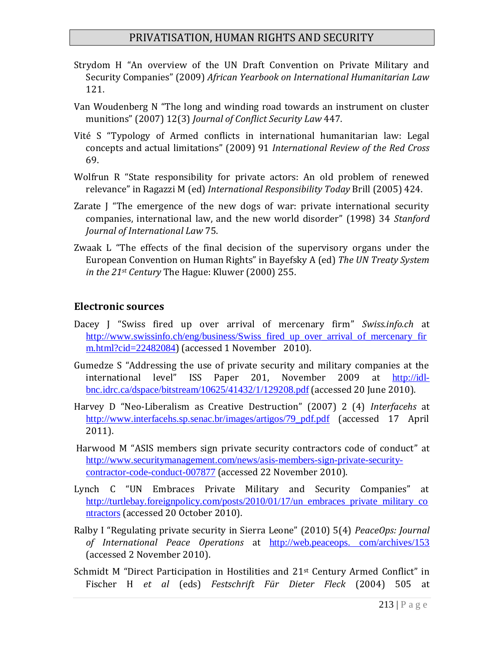- Strydom H "An overview of the UN Draft Convention on Private Military and Security Companies" (2009) *African Yearbook on International Humanitarian Law* 121.
- Van Woudenberg N "The long and winding road towards an instrument on cluster munitions" (2007) 12(3) *Journal of Conflict Security Law* 447.
- Vité S "Typology of Armed conflicts in international humanitarian law: Legal concepts and actual limitations" (2009) 91 *International Review of the Red Cross* 69.
- Wolfrun R "State responsibility for private actors: An old problem of renewed relevance" in Ragazzi M (ed) *International Responsibility Today* Brill (2005) 424.
- Zarate J "The emergence of the new dogs of war: private international security companies, international law, and the new world disorder" (1998) 34 *Stanford Journal of International Law* 75.
- Zwaak L "The effects of the final decision of the supervisory organs under the European Convention on Human Rights" in Bayefsky A (ed) *The UN Treaty System in the 21st Century* The Hague: Kluwer (2000) 255.

#### **Electronic sources**

- Dacey J "Swiss fired up over arrival of mercenary firm" *Swiss.info.ch* at [http://www.swissinfo.ch/eng/business/Swiss\\_fired\\_up\\_over\\_arrival\\_of\\_mercenary\\_fir](http://www.swissinfo.ch/eng/business/Swiss_fired_up_over_arrival_of_mercenary_firm.html?cid=22482084) [m.html?cid=22482084](http://www.swissinfo.ch/eng/business/Swiss_fired_up_over_arrival_of_mercenary_firm.html?cid=22482084)) (accessed 1 November 2010).
- Gumedze S "Addressing the use of private security and military companies at the international level" ISS Paper 201, November 2009 at [http://idl](http://idl-bnc.idrc.ca/dspace/bitstream/10625/41432/1/129208.pdf)[bnc.idrc.ca/dspace/bitstream/10625/41432/1/129208.pdf](http://idl-bnc.idrc.ca/dspace/bitstream/10625/41432/1/129208.pdf)(accessed 20 June 2010).
- Harvey D "Neo-Liberalism as Creative Destruction" (2007) 2 (4) *Interfacehs* at [http://www.interfacehs.sp.senac.br/images/artigos/79\\_pdf.pdf](http://www.interfacehs.sp.senac.br/images/artigos/79_pdf.pdf) (accessed 17 April 2011).
- Harwood M "ASIS members sign private security contractors code of conduct" at [http://www.securitymanagement.com/news/asis-members-sign-private-security](http://www.securitymanagement.com/news/asis-members-sign-private-security-contractor-code-conduct-007877)[contractor-code-conduct-007877](http://www.securitymanagement.com/news/asis-members-sign-private-security-contractor-code-conduct-007877) (accessed 22 November 2010).
- Lynch C "UN Embraces Private Military and Security Companies" at [http://turtlebay.foreignpolicy.com/posts/2010/01/17/un\\_embraces\\_private\\_military\\_co](http://turtlebay.foreignpolicy.com/posts/2010/01/17/un_embraces_private_military_contractors) [ntractors](http://turtlebay.foreignpolicy.com/posts/2010/01/17/un_embraces_private_military_contractors) (accessed 20 October 2010).
- Ralby I "Regulating private security in Sierra Leone" (2010) 5(4) *PeaceOps: Journal of International Peace Operations* at http://web.peaceops. com/archives/153 (accessed 2 November 2010).
- Schmidt M "Direct Participation in Hostilities and  $21<sup>st</sup>$  Century Armed Conflict" in Fischer H *et al* (eds) *Festschrift Für Dieter Fleck* (2004) 505 at